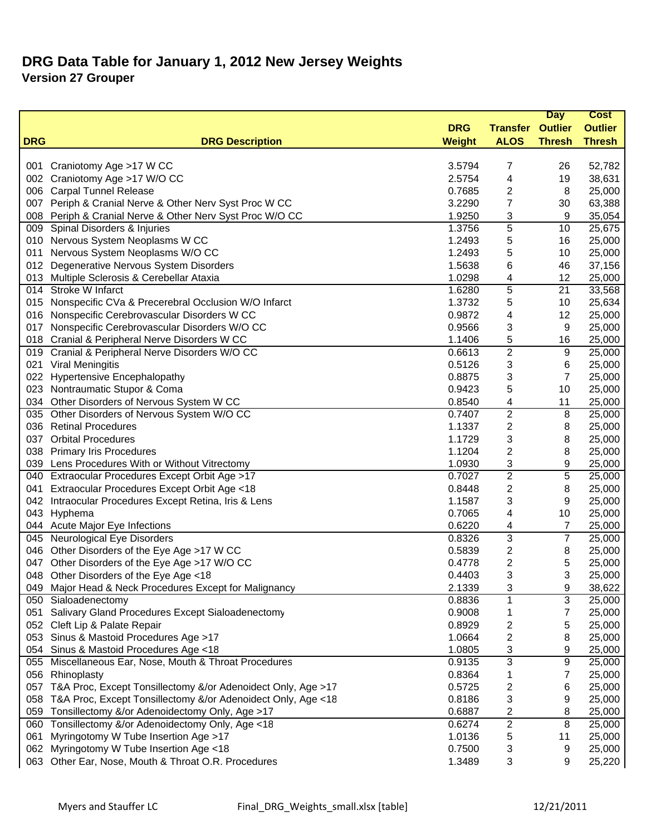|            |                                                                  |               |                         | <b>Day</b>     | <b>Cost</b>    |
|------------|------------------------------------------------------------------|---------------|-------------------------|----------------|----------------|
|            |                                                                  | <b>DRG</b>    | <b>Transfer Outlier</b> |                | <b>Outlier</b> |
| <b>DRG</b> | <b>DRG Description</b>                                           | <b>Weight</b> | <b>ALOS</b>             | <b>Thresh</b>  | <b>Thresh</b>  |
|            |                                                                  |               |                         |                |                |
|            | 001 Craniotomy Age >17 W CC                                      | 3.5794        | 7                       | 26             | 52,782         |
|            | 002 Craniotomy Age >17 W/O CC                                    | 2.5754        | 4                       | 19             | 38,631         |
|            | 006 Carpal Tunnel Release                                        | 0.7685        | 2                       | 8              | 25,000         |
|            | 007 Periph & Cranial Nerve & Other Nerv Syst Proc W CC           | 3.2290        | 7                       | 30             | 63,388         |
| 008        | Periph & Cranial Nerve & Other Nerv Syst Proc W/O CC             | 1.9250        | 3                       | 9              | 35,054         |
| 009        | Spinal Disorders & Injuries                                      | 1.3756        | 5                       | 10             | 25,675         |
|            | 010 Nervous System Neoplasms W CC                                | 1.2493        | 5                       | 16             | 25,000         |
| 011        | Nervous System Neoplasms W/O CC                                  | 1.2493        | 5                       | 10             | 25,000         |
| 012        | Degenerative Nervous System Disorders                            | 1.5638        | 6                       | 46             | 37,156         |
|            | 013 Multiple Sclerosis & Cerebellar Ataxia                       | 1.0298        | 4                       | 12             | 25,000         |
|            | 014 Stroke W Infarct                                             | 1.6280        | 5                       | 21             | 33,568         |
|            | 015 Nonspecific CVa & Precerebral Occlusion W/O Infarct          | 1.3732        | 5                       | 10             | 25,634         |
|            | 016 Nonspecific Cerebrovascular Disorders W CC                   | 0.9872        | 4                       | 12             | 25,000         |
| 017        | Nonspecific Cerebrovascular Disorders W/O CC                     | 0.9566        | 3                       | 9              | 25,000         |
|            | 018 Cranial & Peripheral Nerve Disorders W CC                    | 1.1406        | 5                       | 16             | 25,000         |
|            | 019 Cranial & Peripheral Nerve Disorders W/O CC                  | 0.6613        | $\overline{2}$          | $9\,$          | 25,000         |
|            | 021 Viral Meningitis                                             | 0.5126        | 3                       | 6              | 25,000         |
|            | 022 Hypertensive Encephalopathy                                  | 0.8875        | 3                       | 7              | 25,000         |
|            | 023 Nontraumatic Stupor & Coma                                   | 0.9423        | 5                       | 10             | 25,000         |
|            | 034 Other Disorders of Nervous System W CC                       | 0.8540        | 4                       | 11             | 25,000         |
|            | 035 Other Disorders of Nervous System W/O CC                     | 0.7407        | $\sqrt{2}$              | 8              | 25,000         |
|            | 036 Retinal Procedures                                           | 1.1337        | $\overline{\mathbf{c}}$ | 8              | 25,000         |
|            | 037 Orbital Procedures                                           | 1.1729        | 3                       | 8              | 25,000         |
| 038        | <b>Primary Iris Procedures</b>                                   | 1.1204        | 2                       | 8              | 25,000         |
|            | 039 Lens Procedures With or Without Vitrectomy                   | 1.0930        | 3                       | 9              | 25,000         |
|            | 040 Extraocular Procedures Except Orbit Age >17                  | 0.7027        | $\overline{c}$          | 5              | 25,000         |
| 041        | Extraocular Procedures Except Orbit Age <18                      | 0.8448        | 2                       | 8              | 25,000         |
|            | 042 Intraocular Procedures Except Retina, Iris & Lens            | 1.1587        | 3                       | 9              | 25,000         |
|            | 043 Hyphema                                                      | 0.7065        | 4                       | 10             | 25,000         |
|            | 044 Acute Major Eye Infections                                   | 0.6220        | 4                       | $\overline{7}$ | 25,000         |
|            | 045 Neurological Eye Disorders                                   | 0.8326        | 3                       | $\overline{7}$ | 25,000         |
|            | 046 Other Disorders of the Eye Age >17 W CC                      | 0.5839        | 2                       | 8              | 25,000         |
|            | 047 Other Disorders of the Eye Age >17 W/O CC                    | 0.4778        | 2                       | 5              | 25,000         |
|            | 048 Other Disorders of the Eye Age <18                           | 0.4403        | 3                       | 3              | 25,000         |
|            | 049 Major Head & Neck Procedures Except for Malignancy           | 2.1339        | 3                       | 9              | 38,622         |
|            | 050 Sialoadenectomy                                              | 0.8836        | 1                       | 3              | 25,000         |
| 051        | Salivary Gland Procedures Except Sialoadenectomy                 | 0.9008        | 1                       | 7              | 25,000         |
|            | 052 Cleft Lip & Palate Repair                                    | 0.8929        | 2                       | 5              | 25,000         |
|            | 053 Sinus & Mastoid Procedures Age >17                           | 1.0664        | 2                       | 8              | 25,000         |
|            | 054 Sinus & Mastoid Procedures Age <18                           | 1.0805        | 3                       | 9              | 25,000         |
|            | 055 Miscellaneous Ear, Nose, Mouth & Throat Procedures           | 0.9135        | 3                       | 9              | 25,000         |
|            | 056 Rhinoplasty                                                  | 0.8364        | 1                       | 7              | 25,000         |
|            | 057 T&A Proc, Except Tonsillectomy &/or Adenoidect Only, Age >17 | 0.5725        | 2                       | 6              | 25,000         |
|            | 058 T&A Proc, Except Tonsillectomy &/or Adenoidect Only, Age <18 | 0.8186        | 3                       | 9              | 25,000         |
|            | 059 Tonsillectomy &/or Adenoidectomy Only, Age >17               | 0.6887        | 2                       | 8              | 25,000         |
|            | 060 Tonsillectomy &/or Adenoidectomy Only, Age <18               | 0.6274        | $\sqrt{2}$              | 8              | 25,000         |
| 061        | Myringotomy W Tube Insertion Age >17                             | 1.0136        | 5                       | 11             | 25,000         |
|            | 062 Myringotomy W Tube Insertion Age <18                         | 0.7500        | 3                       | 9              | 25,000         |
|            | 063 Other Ear, Nose, Mouth & Throat O.R. Procedures              | 1.3489        | 3                       | 9              | 25,220         |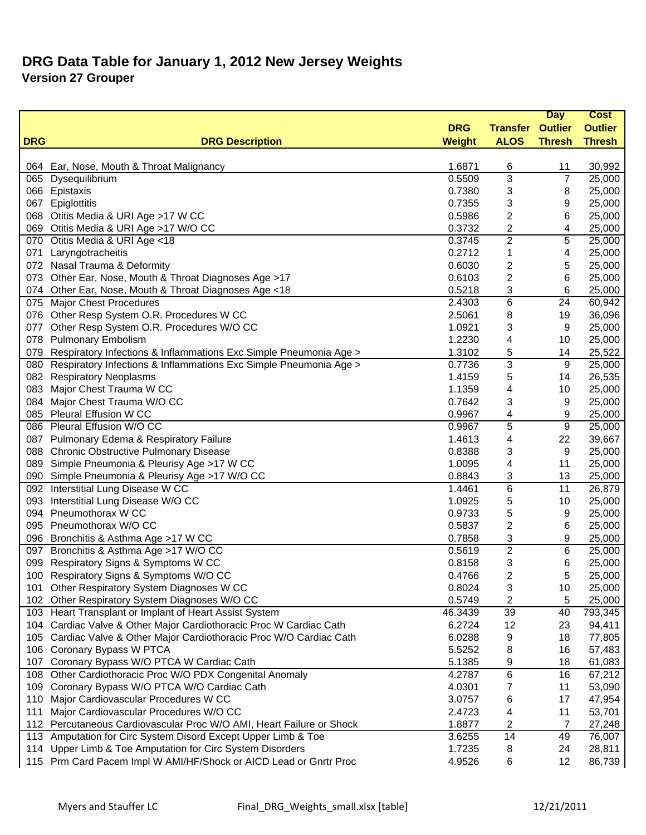|            |                                                                      |               |                 | <b>Day</b>              | <b>Cost</b>    |
|------------|----------------------------------------------------------------------|---------------|-----------------|-------------------------|----------------|
|            |                                                                      | <b>DRG</b>    | <b>Transfer</b> | <b>Outlier</b>          | <b>Outlier</b> |
| <b>DRG</b> | <b>DRG Description</b>                                               | <b>Weight</b> | <b>ALOS</b>     | <b>Thresh</b>           | <b>Thresh</b>  |
|            |                                                                      |               |                 |                         |                |
|            | 064 Ear, Nose, Mouth & Throat Malignancy                             | 1.6871        | 6               | 11                      | 30,992         |
|            | 065 Dysequilibrium                                                   | 0.5509        | 3               | 7                       | 25,000         |
|            | 066 Epistaxis                                                        | 0.7380        | 3               | 8                       | 25,000         |
| 067        | Epiglottitis                                                         | 0.7355        | 3               | 9                       | 25,000         |
| 860        | Otitis Media & URI Age >17 W CC                                      | 0.5986        | 2               | 6                       | 25,000         |
|            | 069 Otitis Media & URI Age >17 W/O CC                                | 0.3732        | 2               | 4                       | 25,000         |
|            | 070 Otitis Media & URI Age <18                                       | 0.3745        | $\overline{c}$  | 5                       | 25,000         |
| 071        | Laryngotracheitis                                                    | 0.2712        | 1               | $\overline{\mathbf{4}}$ | 25,000         |
|            | 072 Nasal Trauma & Deformity                                         | 0.6030        | 2               | 5                       | 25,000         |
|            | 073 Other Ear, Nose, Mouth & Throat Diagnoses Age >17                | 0.6103        | 2               | 6                       | 25,000         |
|            | 074 Other Ear, Nose, Mouth & Throat Diagnoses Age <18                | 0.5218        | 3               | 6                       | 25,000         |
|            | 075 Major Chest Procedures                                           | 2.4303        | 6               | 24                      | 60,942         |
|            | 076 Other Resp System O.R. Procedures W CC                           | 2.5061        | 8               | 19                      | 36,096         |
| 077        | Other Resp System O.R. Procedures W/O CC                             | 1.0921        | 3               | 9                       | 25,000         |
|            | 078 Pulmonary Embolism                                               | 1.2230        | 4               | 10                      | 25,000         |
| 079        | Respiratory Infections & Inflammations Exc Simple Pneumonia Age >    | 1.3102        | 5               | 14                      | 25,522         |
| 080        | Respiratory Infections & Inflammations Exc Simple Pneumonia Age >    | 0.7736        | 3               | 9                       | 25,000         |
|            | 082 Respiratory Neoplasms                                            | 1.4159        | 5               | 14                      | 26,535         |
|            | 083 Major Chest Trauma W CC                                          | 1.1359        | 4               | 10                      | 25,000         |
| 084        | Major Chest Trauma W/O CC                                            | 0.7642        | 3               | 9                       | 25,000         |
| 085        | <b>Pleural Effusion W CC</b>                                         | 0.9967        | 4               | 9                       | 25,000         |
|            | 086 Pleural Effusion W/O CC                                          | 0.9967        | 5               | 9                       | 25,000         |
|            | 087 Pulmonary Edema & Respiratory Failure                            | 1.4613        | 4               | 22                      | 39,667         |
| 088        | <b>Chronic Obstructive Pulmonary Disease</b>                         | 0.8388        | 3               | 9                       | 25,000         |
| 089        | Simple Pneumonia & Pleurisy Age >17 W CC                             | 1.0095        | 4               | 11                      | 25,000         |
|            | 090 Simple Pneumonia & Pleurisy Age >17 W/O CC                       | 0.8843        | 3               | 13                      | 25,000         |
|            | 092 Interstitial Lung Disease W CC                                   | 1.4461        | 6               | 11                      | 26,879         |
| 093        | Interstitial Lung Disease W/O CC                                     | 1.0925        | 5               | 10                      | 25,000         |
| 094        | Pneumothorax W CC                                                    | 0.9733        | 5               | 9                       | 25,000         |
|            | 095 Pneumothorax W/O CC                                              | 0.5837        | 2               | 6                       | 25,000         |
|            | 096 Bronchitis & Asthma Age >17 W CC                                 | 0.7858        | 3               | 9                       | 25,000         |
|            | 097 Bronchitis & Asthma Age >17 W/O CC                               | 0.5619        | 2               | 6                       | 25,000         |
| 099        | Respiratory Signs & Symptoms W CC                                    | 0.8158        | 3               | 6                       | 25,000         |
|            | 100 Respiratory Signs & Symptoms W/O CC                              | 0.4766        | 2               | 5                       | 25,000         |
|            | 101 Other Respiratory System Diagnoses W CC                          | 0.8024        | 3               | 10                      | 25,000         |
| 102        | Other Respiratory System Diagnoses W/O CC                            | 0.5749        | 2               | 5                       | 25,000         |
|            | 103 Heart Transplant or Implant of Heart Assist System               | 46.3439       | 39              | 40                      | 793,345        |
| 104        | Cardiac Valve & Other Major Cardiothoracic Proc W Cardiac Cath       | 6.2724        | 12              | 23                      | 94,411         |
| 105        | Cardiac Valve & Other Major Cardiothoracic Proc W/O Cardiac Cath     | 6.0288        | 9               | 18                      | 77,805         |
|            | 106 Coronary Bypass W PTCA                                           | 5.5252        | 8               | 16                      | 57,483         |
| 107        | Coronary Bypass W/O PTCA W Cardiac Cath                              | 5.1385        | 9               | 18                      | 61,083         |
|            | 108 Other Cardiothoracic Proc W/O PDX Congenital Anomaly             | 4.2787        | 6               | 16                      | 67,212         |
| 109        | Coronary Bypass W/O PTCA W/O Cardiac Cath                            | 4.0301        | 7               | 11                      | 53,090         |
| 110        | Major Cardiovascular Procedures W CC                                 | 3.0757        | 6               | 17                      | 47,954         |
| 111        | Major Cardiovascular Procedures W/O CC                               | 2.4723        | 4               | 11                      | 53,701         |
|            | 112 Percutaneous Cardiovascular Proc W/O AMI, Heart Failure or Shock | 1.8877        | 2               | 7                       | 27,248         |
|            | 113 Amputation for Circ System Disord Except Upper Limb & Toe        | 3.6255        | 14              | 49                      | 76,007         |
| 114        | Upper Limb & Toe Amputation for Circ System Disorders                | 1.7235        | 8               | 24                      | 28,811         |
|            | 115 Prm Card Pacem Impl W AMI/HF/Shock or AICD Lead or Gnrtr Proc    | 4.9526        | 6               | 12                      | 86,739         |
|            |                                                                      |               |                 |                         |                |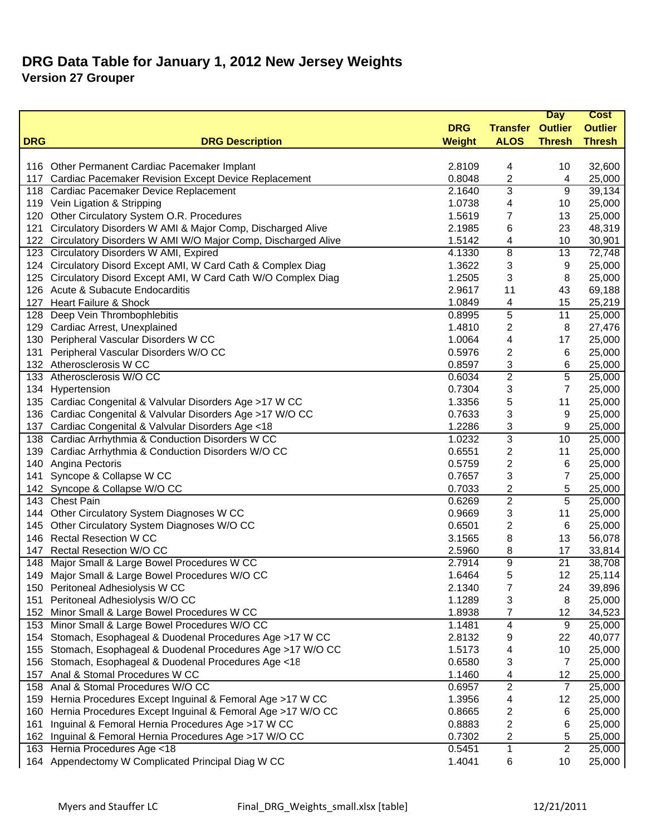|            |                                                                 |               |                         | <b>Day</b>     | <b>Cost</b>    |
|------------|-----------------------------------------------------------------|---------------|-------------------------|----------------|----------------|
|            |                                                                 | <b>DRG</b>    | <b>Transfer Outlier</b> |                | <b>Outlier</b> |
| <b>DRG</b> | <b>DRG Description</b>                                          | <b>Weight</b> | <b>ALOS</b>             | <b>Thresh</b>  | <b>Thresh</b>  |
|            |                                                                 |               |                         |                |                |
|            | 116 Other Permanent Cardiac Pacemaker Implant                   | 2.8109        | 4                       | 10             | 32,600         |
| 117        | Cardiac Pacemaker Revision Except Device Replacement            | 0.8048        | 2                       | 4              | 25,000         |
|            | 118 Cardiac Pacemaker Device Replacement                        | 2.1640        | 3                       | 9              | 39,134         |
|            | 119 Vein Ligation & Stripping                                   | 1.0738        | 4                       | 10             | 25,000         |
| 120        | Other Circulatory System O.R. Procedures                        | 1.5619        | 7                       | 13             | 25,000         |
| 121        | Circulatory Disorders W AMI & Major Comp, Discharged Alive      | 2.1985        | 6                       | 23             | 48,319         |
| 122        | Circulatory Disorders W AMI W/O Major Comp, Discharged Alive    | 1.5142        | 4                       | 10             | 30,901         |
|            | 123 Circulatory Disorders W AMI, Expired                        | 4.1330        | 8                       | 13             | 72,748         |
|            | 124 Circulatory Disord Except AMI, W Card Cath & Complex Diag   | 1.3622        | 3                       | 9              | 25,000         |
|            | 125 Circulatory Disord Except AMI, W Card Cath W/O Complex Diag | 1.2505        | 3                       | 8              | 25,000         |
|            | 126 Acute & Subacute Endocarditis                               | 2.9617        | 11                      | 43             | 69,188         |
| 127        | Heart Failure & Shock                                           | 1.0849        | 4                       | 15             | 25,219         |
| 128        | Deep Vein Thrombophlebitis                                      | 0.8995        | 5                       | 11             | 25,000         |
| 129        | Cardiac Arrest, Unexplained                                     | 1.4810        | 2                       | 8              | 27,476         |
| 130        | Peripheral Vascular Disorders W CC                              | 1.0064        | 4                       | 17             | 25,000         |
| 131        | Peripheral Vascular Disorders W/O CC                            | 0.5976        | 2                       | 6              | 25,000         |
|            | 132 Atherosclerosis W CC                                        | 0.8597        | 3                       | 6              | 25,000         |
|            | 133 Atherosclerosis W/O CC                                      | 0.6034        | $\overline{2}$          | $\overline{5}$ | 25,000         |
| 134        | Hypertension                                                    | 0.7304        | 3                       | $\overline{7}$ | 25,000         |
|            | 135 Cardiac Congenital & Valvular Disorders Age >17 W CC        | 1.3356        | 5                       | 11             | 25,000         |
| 136        | Cardiac Congenital & Valvular Disorders Age >17 W/O CC          | 0.7633        | 3                       | 9              | 25,000         |
| 137        | Cardiac Congenital & Valvular Disorders Age <18                 | 1.2286        | 3                       | 9              | 25,000         |
| 138        | Cardiac Arrhythmia & Conduction Disorders W CC                  | 1.0232        | 3                       | 10             | 25,000         |
| 139        | Cardiac Arrhythmia & Conduction Disorders W/O CC                | 0.6551        | 2                       | 11             | 25,000         |
| 140        | Angina Pectoris                                                 | 0.5759        | 2                       | 6              | 25,000         |
| 141        | Syncope & Collapse W CC                                         | 0.7657        | 3                       | 7              | 25,000         |
|            | 142 Syncope & Collapse W/O CC                                   | 0.7033        | 2                       | 5              | 25,000         |
|            | 143 Chest Pain                                                  | 0.6269        | $\overline{2}$          | $\overline{5}$ | 25,000         |
|            | 144 Other Circulatory System Diagnoses W CC                     | 0.9669        | 3                       | 11             | 25,000         |
|            | 145 Other Circulatory System Diagnoses W/O CC                   | 0.6501        | 2                       | 6              | 25,000         |
|            | 146 Rectal Resection W CC                                       | 3.1565        | 8                       | 13             | 56,078         |
|            | 147 Rectal Resection W/O CC                                     | 2.5960        | 8                       | 17             | 33,814         |
| 148        | Major Small & Large Bowel Procedures W CC                       | 2.7914        | 9                       | 21             | 38,708         |
| 149        | Major Small & Large Bowel Procedures W/O CC                     | 1.6464        | 5                       | 12             | 25,114         |
|            | 150 Peritoneal Adhesiolysis W CC                                | 2.1340        | 7                       | 24             | 39,896         |
| 151        | Peritoneal Adhesiolysis W/O CC                                  | 1.1289        | 3                       | 8              | 25,000         |
| 152        | Minor Small & Large Bowel Procedures W CC                       | 1.8938        | 7                       | 12             | 34,523         |
|            | 153 Minor Small & Large Bowel Procedures W/O CC                 | 1.1481        | 4                       | 9              | 25,000         |
| 154        | Stomach, Esophageal & Duodenal Procedures Age >17 W CC          | 2.8132        | 9                       | 22             | 40,077         |
|            | 155 Stomach, Esophageal & Duodenal Procedures Age >17 W/O CC    | 1.5173        | 4                       | 10             | 25,000         |
| 156        | Stomach, Esophageal & Duodenal Procedures Age <18               | 0.6580        | 3                       | 7              | 25,000         |
| 157        | Anal & Stomal Procedures W CC                                   | 1.1460        | 4                       | 12             | 25,000         |
|            | 158 Anal & Stomal Procedures W/O CC                             | 0.6957        | $\overline{c}$          | 7              | 25,000         |
| 159        | Hernia Procedures Except Inguinal & Femoral Age >17 W CC        | 1.3956        | 4                       | 12             | 25,000         |
| 160        | Hernia Procedures Except Inguinal & Femoral Age >17 W/O CC      | 0.8665        | 2                       | 6              | 25,000         |
| 161        | Inguinal & Femoral Hernia Procedures Age >17 W CC               | 0.8883        | 2                       | 6              | 25,000         |
| 162        | Inguinal & Femoral Hernia Procedures Age >17 W/O CC             | 0.7302        | 2                       | 5              | 25,000         |
| 163        | Hernia Procedures Age <18                                       | 0.5451        | 1                       | $\overline{2}$ | 25,000         |
|            | 164 Appendectomy W Complicated Principal Diag W CC              | 1.4041        | 6                       | 10             | 25,000         |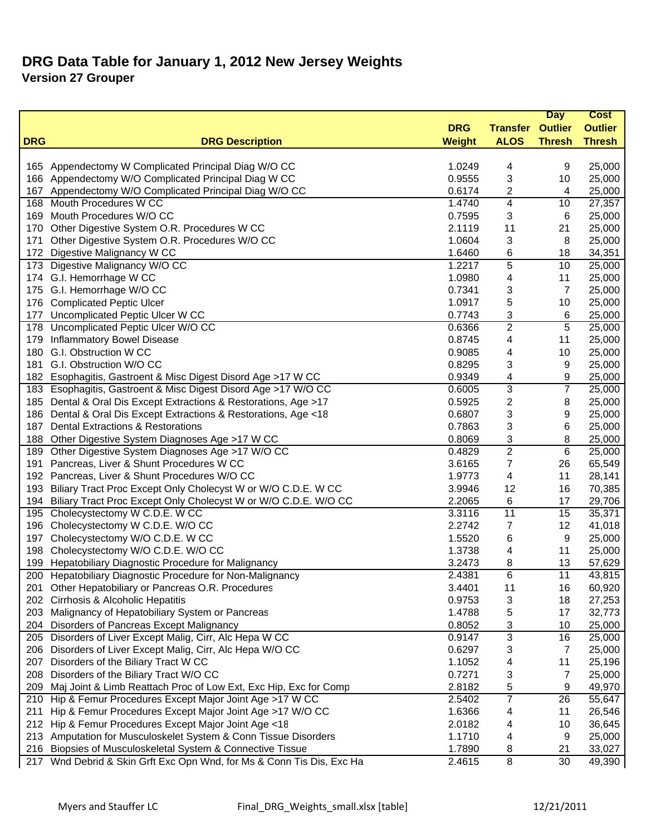|            |                                                                      |               |                         | <b>Day</b>      | <b>Cost</b>    |
|------------|----------------------------------------------------------------------|---------------|-------------------------|-----------------|----------------|
|            |                                                                      | <b>DRG</b>    | <b>Transfer Outlier</b> |                 | <b>Outlier</b> |
| <b>DRG</b> | <b>DRG Description</b>                                               | <b>Weight</b> | <b>ALOS</b>             | <b>Thresh</b>   | <b>Thresh</b>  |
|            |                                                                      |               |                         |                 |                |
| 165        | Appendectomy W Complicated Principal Diag W/O CC                     | 1.0249        | 4                       | 9               | 25,000         |
| 166        | Appendectomy W/O Complicated Principal Diag W CC                     | 0.9555        | 3                       | 10              | 25,000         |
| 167        | Appendectomy W/O Complicated Principal Diag W/O CC                   | 0.6174        | 2                       | 4               | 25,000         |
| 168        | Mouth Procedures W CC                                                | 1.4740        | 4                       | 10              | 27,357         |
| 169        | Mouth Procedures W/O CC                                              | 0.7595        | 3                       | 6               | 25,000         |
| 170        | Other Digestive System O.R. Procedures W CC                          | 2.1119        | 11                      | 21              | 25,000         |
| 171        | Other Digestive System O.R. Procedures W/O CC                        | 1.0604        | 3                       | 8               | 25,000         |
| 172        | Digestive Malignancy W CC                                            | 1.6460        | 6                       | 18              | 34,351         |
| 173        | Digestive Malignancy W/O CC                                          | 1.2217        | 5                       | 10              | 25,000         |
|            | 174 G.I. Hemorrhage W CC                                             | 1.0980        | 4                       | 11              | 25,000         |
|            | 175 G.I. Hemorrhage W/O CC                                           | 0.7341        | 3                       | $\overline{7}$  | 25,000         |
| 176        | <b>Complicated Peptic Ulcer</b>                                      | 1.0917        | 5                       | 10              | 25,000         |
| 177        | Uncomplicated Peptic Ulcer W CC                                      | 0.7743        | 3                       | 6               | 25,000         |
| 178        | Uncomplicated Peptic Ulcer W/O CC                                    | 0.6366        | $\overline{2}$          | 5               | 25,000         |
| 179        | Inflammatory Bowel Disease                                           | 0.8745        | 4                       | 11              | 25,000         |
| 180        | G.I. Obstruction W CC                                                | 0.9085        | 4                       | 10              | 25,000         |
| 181        | G.I. Obstruction W/O CC                                              | 0.8295        | 3                       | 9               | 25,000         |
|            | 182 Esophagitis, Gastroent & Misc Digest Disord Age >17 W CC         | 0.9349        | 4                       | 9               | 25,000         |
|            | 183 Esophagitis, Gastroent & Misc Digest Disord Age >17 W/O CC       | 0.6005        | 3                       | $\overline{7}$  | 25,000         |
| 185        | Dental & Oral Dis Except Extractions & Restorations, Age >17         | 0.5925        | 2                       | 8               | 25,000         |
| 186        | Dental & Oral Dis Except Extractions & Restorations, Age <18         | 0.6807        | 3                       | 9               | 25,000         |
| 187        | <b>Dental Extractions &amp; Restorations</b>                         | 0.7863        | 3                       | 6               | 25,000         |
| 188        | Other Digestive System Diagnoses Age >17 W CC                        | 0.8069        | 3                       | 8               | 25,000         |
| 189        | Other Digestive System Diagnoses Age >17 W/O CC                      | 0.4829        | $\overline{2}$          | 6               | 25,000         |
| 191        | Pancreas, Liver & Shunt Procedures W CC                              | 3.6165        | 7                       | 26              | 65,549         |
|            | 192 Pancreas, Liver & Shunt Procedures W/O CC                        | 1.9773        | 4                       | 11              | 28,141         |
| 193        | Biliary Tract Proc Except Only Cholecyst W or W/O C.D.E. W CC        | 3.9946        | 12                      | 16              | 70,385         |
|            | 194 Biliary Tract Proc Except Only Cholecyst W or W/O C.D.E. W/O CC  | 2.2065        | 6                       | 17              | 29,706         |
| 195        | Cholecystectomy W C.D.E. W CC                                        | 3.3116        | 11                      | 15              | 35,371         |
| 196        | Cholecystectomy W C.D.E. W/O CC                                      | 2.2742        | 7                       | 12              | 41,018         |
| 197        | Cholecystectomy W/O C.D.E. W CC                                      | 1.5520        | 6                       | 9               | 25,000         |
| 198        | Cholecystectomy W/O C.D.E. W/O CC                                    | 1.3738        | 4                       | 11              | 25,000         |
| 199        | Hepatobiliary Diagnostic Procedure for Malignancy                    | 3.2473        | 8                       | 13              | 57,629         |
|            | 200 Hepatobiliary Diagnostic Procedure for Non-Malignancy            | 2.4381        | 6                       | $\overline{11}$ | 43,815         |
|            | 201 Other Hepatobiliary or Pancreas O.R. Procedures                  | 3.4401        | 11                      | 16              | 60,920         |
|            | 202 Cirrhosis & Alcoholic Hepatitis                                  | 0.9753        | 3                       | 18              | 27,253         |
| 203        | Malignancy of Hepatobiliary System or Pancreas                       | 1.4788        | 5                       | 17              | 32,773         |
|            | 204 Disorders of Pancreas Except Malignancy                          | 0.8052        | 3                       | 10              | 25,000         |
| 205        | Disorders of Liver Except Malig, Cirr, Alc Hepa W CC                 | 0.9147        | 3                       | 16              | 25,000         |
| 206        | Disorders of Liver Except Malig, Cirr, Alc Hepa W/O CC               | 0.6297        | 3                       | $\overline{7}$  | 25,000         |
| 207        | Disorders of the Biliary Tract W CC                                  | 1.1052        | 4                       | 11              | 25,196         |
| 208        | Disorders of the Biliary Tract W/O CC                                | 0.7271        | 3                       | 7               | 25,000         |
|            | 209 Maj Joint & Limb Reattach Proc of Low Ext, Exc Hip, Exc for Comp | 2.8182        | 5                       | 9               | 49,970         |
|            | 210 Hip & Femur Procedures Except Major Joint Age >17 W CC           | 2.5402        | 7                       | 26              | 55,647         |
| 211        | Hip & Femur Procedures Except Major Joint Age >17 W/O CC             | 1.6366        | 4                       | 11              | 26,546         |
|            | 212 Hip & Femur Procedures Except Major Joint Age <18                | 2.0182        | 4                       | 10              | 36,645         |
|            | 213 Amputation for Musculoskelet System & Conn Tissue Disorders      | 1.1710        | 4                       | 9               | 25,000         |
|            | 216 Biopsies of Musculoskeletal System & Connective Tissue           | 1.7890        | 8                       | 21              | 33,027         |
| 217        | Wnd Debrid & Skin Grft Exc Opn Wnd, for Ms & Conn Tis Dis, Exc Ha    | 2.4615        | 8                       | 30              | 49,390         |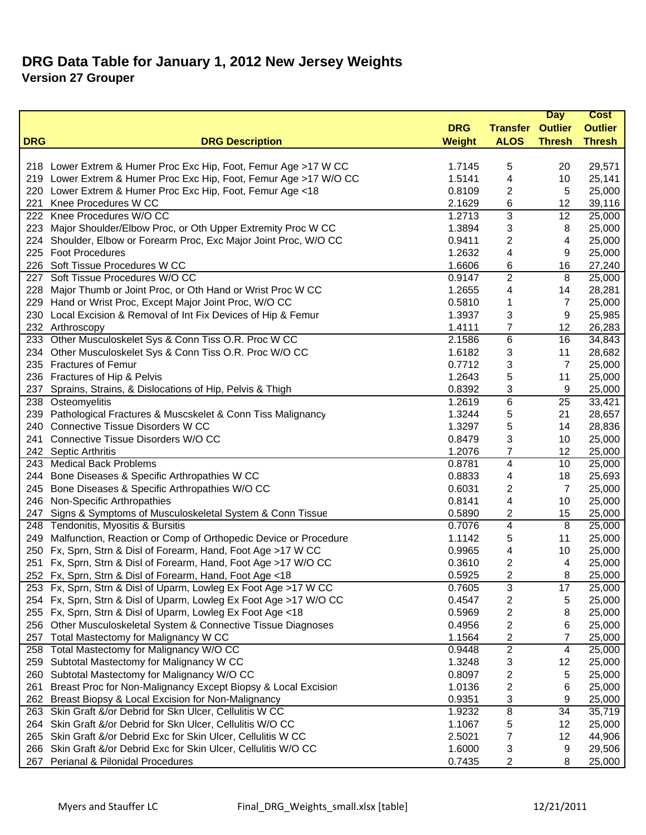|            |                                                                                                                           |                  |                         | <b>Day</b>     | <b>Cost</b>      |
|------------|---------------------------------------------------------------------------------------------------------------------------|------------------|-------------------------|----------------|------------------|
|            |                                                                                                                           | <b>DRG</b>       | <b>Transfer Outlier</b> |                | <b>Outlier</b>   |
| <b>DRG</b> | <b>DRG Description</b>                                                                                                    | <b>Weight</b>    | <b>ALOS</b>             | <b>Thresh</b>  | <b>Thresh</b>    |
|            |                                                                                                                           |                  |                         |                |                  |
|            | 218 Lower Extrem & Humer Proc Exc Hip, Foot, Femur Age > 17 W CC                                                          | 1.7145           | 5                       | 20             | 29,571           |
|            | 219 Lower Extrem & Humer Proc Exc Hip, Foot, Femur Age > 17 W/O CC                                                        | 1.5141           | 4                       | 10             | 25,141           |
|            | 220 Lower Extrem & Humer Proc Exc Hip, Foot, Femur Age <18                                                                | 0.8109           | $\overline{\mathbf{c}}$ | $\sqrt{5}$     | 25,000           |
|            | 221 Knee Procedures W CC                                                                                                  | 2.1629           | 6                       | 12             | 39,116           |
|            | 222 Knee Procedures W/O CC                                                                                                | 1.2713           | 3                       | 12             | 25,000           |
|            | 223 Major Shoulder/Elbow Proc, or Oth Upper Extremity Proc W CC                                                           | 1.3894           | 3                       | 8              | 25,000           |
|            | 224 Shoulder, Elbow or Forearm Proc, Exc Major Joint Proc, W/O CC                                                         | 0.9411           | 2                       | 4              | 25,000           |
|            | 225 Foot Procedures                                                                                                       | 1.2632           | 4                       | 9              | 25,000           |
|            | 226 Soft Tissue Procedures W CC                                                                                           | 1.6606           | 6                       | 16             | 27,240           |
|            | 227 Soft Tissue Procedures W/O CC                                                                                         | 0.9147           | 2                       | 8              | 25,000           |
|            | 228 Major Thumb or Joint Proc, or Oth Hand or Wrist Proc W CC                                                             | 1.2655           | 4                       | 14             | 28,281           |
|            | 229 Hand or Wrist Proc, Except Major Joint Proc, W/O CC                                                                   | 0.5810           | 1                       | $\overline{7}$ | 25,000           |
|            | 230 Local Excision & Removal of Int Fix Devices of Hip & Femur                                                            | 1.3937           | 3                       | 9              | 25,985           |
|            | 232 Arthroscopy                                                                                                           | 1.4111           | 7                       | 12             | 26,283           |
|            | 233 Other Musculoskelet Sys & Conn Tiss O.R. Proc W CC                                                                    | 2.1586           | 6                       | 16             | 34,843           |
|            | 234 Other Musculoskelet Sys & Conn Tiss O.R. Proc W/O CC                                                                  | 1.6182           | 3                       | 11             | 28,682           |
|            | 235 Fractures of Femur                                                                                                    | 0.7712           | 3                       | 7              | 25,000           |
|            | 236 Fractures of Hip & Pelvis                                                                                             | 1.2643           | 5                       | 11             | 25,000           |
| 237        | Sprains, Strains, & Dislocations of Hip, Pelvis & Thigh                                                                   | 0.8392           | 3                       | 9              | 25,000           |
|            | 238 Osteomyelitis                                                                                                         | 1.2619           | $\overline{6}$          | 25             | 33,421           |
|            | 239 Pathological Fractures & Muscskelet & Conn Tiss Malignancy                                                            | 1.3244           | 5                       | 21             | 28,657           |
|            | 240 Connective Tissue Disorders W CC                                                                                      | 1.3297           | 5                       | 14             | 28,836           |
| 241        | Connective Tissue Disorders W/O CC                                                                                        | 0.8479           | 3                       | 10             | 25,000           |
|            | 242 Septic Arthritis                                                                                                      | 1.2076           | 7                       | 12             | 25,000           |
|            | 243 Medical Back Problems                                                                                                 | 0.8781           | $\overline{\mathbf{4}}$ | 10             | 25,000           |
|            | 244 Bone Diseases & Specific Arthropathies W CC                                                                           | 0.8833           | 4                       | 18             | 25,693           |
|            | 245 Bone Diseases & Specific Arthropathies W/O CC                                                                         | 0.6031           | $\overline{c}$          | $\overline{7}$ | 25,000           |
|            | 246 Non-Specific Arthropathies                                                                                            | 0.8141           | 4                       | 10             | 25,000           |
| 247        | Signs & Symptoms of Musculoskeletal System & Conn Tissue                                                                  | 0.5890           | 2                       | 15             | 25,000           |
|            | 248 Tendonitis, Myositis & Bursitis                                                                                       | 0.7076           | 4                       | 8              | 25,000           |
| 249        | Malfunction, Reaction or Comp of Orthopedic Device or Procedure                                                           | 1.1142           | 5                       | 11             | 25,000           |
|            | 250 Fx, Sprn, Strn & Disl of Forearm, Hand, Foot Age >17 W CC                                                             | 0.9965           | 4                       | 10             | 25,000           |
|            | 251 Fx, Sprn, Strn & Disl of Forearm, Hand, Foot Age >17 W/O CC                                                           | 0.3610           | 2                       | 4              | 25,000           |
|            | 252 Fx, Sprn, Strn & Disl of Forearm, Hand, Foot Age <18                                                                  | 0.5925           | 2                       | 8              | 25,000           |
|            | 253 Fx, Sprn, Strn & Disl of Uparm, Lowleg Ex Foot Age >17 W CC                                                           | 0.7605           | 3                       | 17             | 25,000           |
|            | 254 Fx, Sprn, Strn & Disl of Uparm, Lowleg Ex Foot Age >17 W/O CC                                                         | 0.4547           | 2                       | 5              | 25,000           |
|            | 255 Fx, Sprn, Strn & Disl of Uparm, Lowleg Ex Foot Age <18                                                                | 0.5969           | 2                       | 8              | 25,000           |
| 256        | Other Musculoskeletal System & Connective Tissue Diagnoses                                                                | 0.4956           | 2                       | 6              | 25,000           |
| 257        | Total Mastectomy for Malignancy W CC                                                                                      | 1.1564           | 2                       | 7              | 25,000           |
|            | 258 Total Mastectomy for Malignancy W/O CC                                                                                | 0.9448           | $\overline{c}$          | 4              | 25,000           |
| 259        | Subtotal Mastectomy for Malignancy W CC                                                                                   | 1.3248           | 3                       | 12             | 25,000           |
| 260        | Subtotal Mastectomy for Malignancy W/O CC                                                                                 | 0.8097           | 2                       | 5              | 25,000           |
| 261        | Breast Proc for Non-Malignancy Except Biopsy & Local Excision                                                             | 1.0136           | 2                       | 6              | 25,000           |
| 262        | Breast Biopsy & Local Excision for Non-Malignancy                                                                         | 0.9351           | 3                       | 9              | 25,000           |
|            | 263 Skin Graft &/or Debrid for Skn Ulcer, Cellulitis W CC                                                                 | 1.9232           | $\overline{\mathbf{8}}$ | 34             | 35,719           |
|            | 264 Skin Graft &/or Debrid for Skn Ulcer, Cellulitis W/O CC<br>Skin Graft &/or Debrid Exc for Skin Ulcer, Cellulitis W CC | 1.1067           | 5                       | 12             | 25,000<br>44,906 |
| 265<br>266 | Skin Graft &/or Debrid Exc for Skin Ulcer, Cellulitis W/O CC                                                              | 2.5021<br>1.6000 | 7                       | 12             |                  |
| 267        | Perianal & Pilonidal Procedures                                                                                           | 0.7435           | 3                       | 9              | 29,506           |
|            |                                                                                                                           |                  | 2                       | 8              | 25,000           |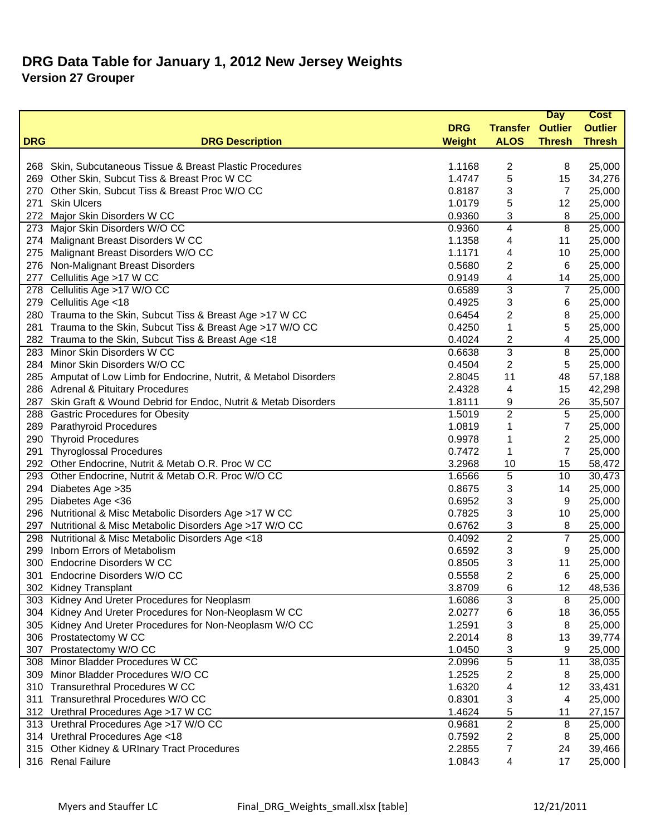|            |                                                                    |               |                 | <b>Day</b>     | <b>Cost</b>    |
|------------|--------------------------------------------------------------------|---------------|-----------------|----------------|----------------|
|            |                                                                    | <b>DRG</b>    | <b>Transfer</b> | <b>Outlier</b> | <b>Outlier</b> |
| <b>DRG</b> | <b>DRG Description</b>                                             | <b>Weight</b> | <b>ALOS</b>     | <b>Thresh</b>  | <b>Thresh</b>  |
|            |                                                                    |               |                 |                |                |
| 268        | Skin, Subcutaneous Tissue & Breast Plastic Procedures              | 1.1168        | 2               | 8              | 25,000         |
| 269        | Other Skin, Subcut Tiss & Breast Proc W CC                         | 1.4747        | 5               | 15             | 34,276         |
| 270        | Other Skin, Subcut Tiss & Breast Proc W/O CC                       | 0.8187        | 3               | $\overline{7}$ | 25,000         |
| 271        | <b>Skin Ulcers</b>                                                 | 1.0179        | 5               | 12             | 25,000         |
| 272        | Major Skin Disorders W CC                                          | 0.9360        | 3               | 8              | 25,000         |
| 273        | Major Skin Disorders W/O CC                                        | 0.9360        | 4               | $\overline{8}$ | 25,000         |
|            | 274 Malignant Breast Disorders W CC                                | 1.1358        | 4               | 11             | 25,000         |
| 275        | Malignant Breast Disorders W/O CC                                  | 1.1171        | 4               | 10             | 25,000         |
| 276        | Non-Malignant Breast Disorders                                     | 0.5680        | 2               | 6              | 25,000         |
| 277        | Cellulitis Age >17 W CC                                            | 0.9149        | 4               | 14             | 25,000         |
| 278        | Cellulitis Age >17 W/O CC                                          | 0.6589        | 3               | $\overline{7}$ | 25,000         |
| 279        | Cellulitis Age <18                                                 | 0.4925        | 3               | 6              | 25,000         |
|            | 280 Trauma to the Skin, Subcut Tiss & Breast Age >17 W CC          | 0.6454        | 2               | 8              | 25,000         |
|            | 281 Trauma to the Skin, Subcut Tiss & Breast Age >17 W/O CC        | 0.4250        | 1               | 5              | 25,000         |
|            | 282 Trauma to the Skin, Subcut Tiss & Breast Age <18               | 0.4024        | 2               | 4              | 25,000         |
| 283        | Minor Skin Disorders W CC                                          | 0.6638        | 3               | 8              | 25,000         |
| 284        | Minor Skin Disorders W/O CC                                        | 0.4504        | 2               | 5              | 25,000         |
|            | 285 Amputat of Low Limb for Endocrine, Nutrit, & Metabol Disorders | 2.8045        | 11              | 48             | 57,188         |
|            | 286 Adrenal & Pituitary Procedures                                 | 2.4328        | 4               | 15             | 42,298         |
| 287        | Skin Graft & Wound Debrid for Endoc, Nutrit & Metab Disorders      | 1.8111        | 9               | 26             | 35,507         |
|            | 288 Gastric Procedures for Obesity                                 | 1.5019        | $\overline{c}$  | 5              | 25,000         |
| 289        | <b>Parathyroid Procedures</b>                                      | 1.0819        | 1               | $\overline{7}$ | 25,000         |
| 290        | <b>Thyroid Procedures</b>                                          | 0.9978        | 1               | $\overline{2}$ | 25,000         |
| 291        | <b>Thyroglossal Procedures</b>                                     | 0.7472        | 1               | $\overline{7}$ | 25,000         |
|            | 292 Other Endocrine, Nutrit & Metab O.R. Proc W CC                 | 3.2968        | 10              | 15             | 58,472         |
| 293        | Other Endocrine, Nutrit & Metab O.R. Proc W/O CC                   | 1.6566        | 5               | 10             | 30,473         |
| 294        | Diabetes Age > 35                                                  | 0.8675        | 3               | 14             | 25,000         |
| 295        | Diabetes Age <36                                                   | 0.6952        | 3               | 9              | 25,000         |
|            | 296 Nutritional & Misc Metabolic Disorders Age >17 W CC            | 0.7825        | 3               | 10             | 25,000         |
| 297        | Nutritional & Misc Metabolic Disorders Age >17 W/O CC              | 0.6762        | 3               | 8              | 25,000         |
|            | 298 Nutritional & Misc Metabolic Disorders Age <18                 | 0.4092        | $\overline{c}$  | $\overline{7}$ | 25,000         |
| 299        | Inborn Errors of Metabolism                                        | 0.6592        | 3               | 9              | 25,000         |
| 300        | <b>Endocrine Disorders W CC</b>                                    | 0.8505        | 3               | 11             | 25,000         |
| 301        | Endocrine Disorders W/O CC                                         | 0.5558        | 2               | 6              | 25,000         |
|            | 302 Kidney Transplant                                              | 3.8709        | 6               | 12             | 48,536         |
|            | 303 Kidney And Ureter Procedures for Neoplasm                      | 1.6086        | 3               | 8              | 25,000         |
| 304        | Kidney And Ureter Procedures for Non-Neoplasm W CC                 | 2.0277        | 6               | 18             | 36,055         |
| 305        | Kidney And Ureter Procedures for Non-Neoplasm W/O CC               | 1.2591        | 3               | 8              | 25,000         |
|            | 306 Prostatectomy W CC                                             | 2.2014        | 8               | 13             | 39,774         |
| 307        | Prostatectomy W/O CC                                               | 1.0450        |                 | 9              | 25,000         |
|            | 308 Minor Bladder Procedures W CC                                  |               | 3<br>5          |                |                |
|            | 309 Minor Bladder Procedures W/O CC                                | 2.0996        |                 | 11             | 38,035         |
|            | 310 Transurethral Procedures W CC                                  | 1.2525        | 2               | 8              | 25,000         |
|            |                                                                    | 1.6320        | 4               | 12             | 33,431         |
|            | 311 Transurethral Procedures W/O CC                                | 0.8301        | 3               | 4              | 25,000         |
|            | 312 Urethral Procedures Age > 17 W CC                              | 1.4624        | 5               | 11             | 27,157         |
|            | 313 Urethral Procedures Age >17 W/O CC                             | 0.9681        | 2               | 8              | 25,000         |
|            | 314 Urethral Procedures Age <18                                    | 0.7592        | 2               | 8              | 25,000         |
|            | 315 Other Kidney & URInary Tract Procedures                        | 2.2855        | 7               | 24             | 39,466         |
|            | 316 Renal Failure                                                  | 1.0843        | 4               | 17             | 25,000         |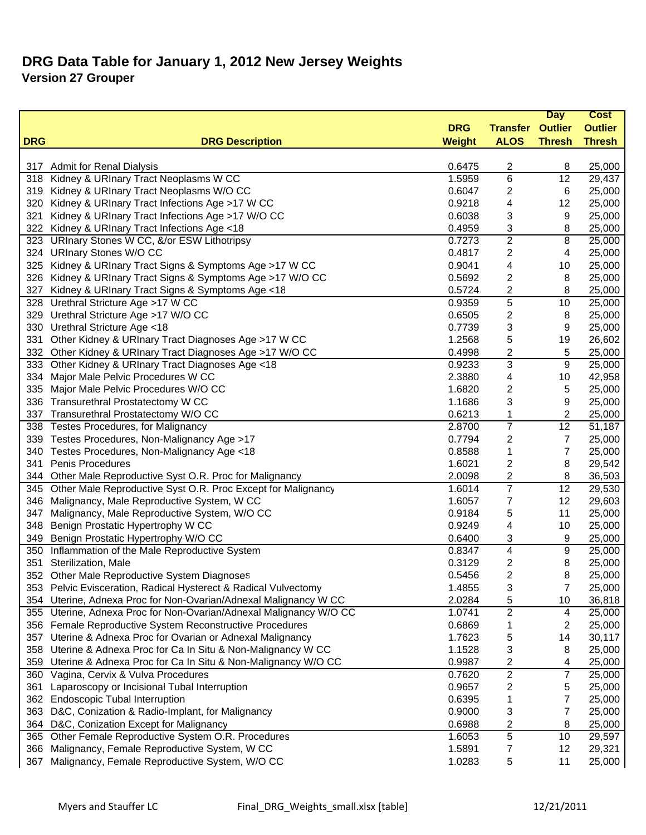|            |                                                                    |               |                         | <b>Day</b>     | <b>Cost</b>    |
|------------|--------------------------------------------------------------------|---------------|-------------------------|----------------|----------------|
|            |                                                                    | <b>DRG</b>    | <b>Transfer Outlier</b> |                | <b>Outlier</b> |
| <b>DRG</b> | <b>DRG Description</b>                                             | <b>Weight</b> | <b>ALOS</b>             | <b>Thresh</b>  | <b>Thresh</b>  |
|            |                                                                    |               |                         |                |                |
| 317        | <b>Admit for Renal Dialysis</b>                                    | 0.6475        | 2                       | 8              | 25,000         |
|            | 318 Kidney & URInary Tract Neoplasms W CC                          | 1.5959        | 6                       | 12             | 29,437         |
| 319        | Kidney & URInary Tract Neoplasms W/O CC                            | 0.6047        | 2                       | 6              | 25,000         |
| 320        | Kidney & URInary Tract Infections Age >17 W CC                     | 0.9218        | 4                       | 12             | 25,000         |
| 321        | Kidney & URInary Tract Infections Age >17 W/O CC                   | 0.6038        | 3                       | 9              | 25,000         |
| 322        | Kidney & URInary Tract Infections Age <18                          | 0.4959        | 3                       | 8              | 25,000         |
| 323        | <b>URInary Stones W CC, &amp;/or ESW Lithotripsy</b>               | 0.7273        | $\overline{c}$          | 8              | 25,000         |
|            | 324 URInary Stones W/O CC                                          | 0.4817        | 2                       | 4              | 25,000         |
| 325        | Kidney & URInary Tract Signs & Symptoms Age >17 W CC               | 0.9041        | 4                       | 10             | 25,000         |
|            | 326 Kidney & URInary Tract Signs & Symptoms Age >17 W/O CC         | 0.5692        | 2                       | 8              | 25,000         |
| 327        | Kidney & URInary Tract Signs & Symptoms Age <18                    | 0.5724        | 2                       | 8              | 25,000         |
|            | 328 Urethral Stricture Age >17 W CC                                | 0.9359        | 5                       | 10             | 25,000         |
|            | 329 Urethral Stricture Age >17 W/O CC                              | 0.6505        | 2                       | 8              | 25,000         |
|            | 330 Urethral Stricture Age <18                                     | 0.7739        | 3                       | 9              | 25,000         |
| 331        | Other Kidney & URInary Tract Diagnoses Age >17 W CC                | 1.2568        | 5                       | 19             | 26,602         |
|            | 332 Other Kidney & URInary Tract Diagnoses Age >17 W/O CC          | 0.4998        | 2                       | 5              | 25,000         |
|            | 333 Other Kidney & URInary Tract Diagnoses Age <18                 | 0.9233        | 3                       | 9              | 25,000         |
| 334        | Major Male Pelvic Procedures W CC                                  | 2.3880        | 4                       | 10             | 42,958         |
| 335        | Major Male Pelvic Procedures W/O CC                                | 1.6820        | 2                       | 5              | 25,000         |
|            | 336 Transurethral Prostatectomy W CC                               | 1.1686        | 3                       | 9              | 25,000         |
|            | 337 Transurethral Prostatectomy W/O CC                             | 0.6213        | 1                       | 2              | 25,000         |
|            | 338 Testes Procedures, for Malignancy                              | 2.8700        | $\overline{7}$          | 12             | 51,187         |
|            | 339 Testes Procedures, Non-Malignancy Age >17                      | 0.7794        | 2                       | 7              | 25,000         |
|            | 340 Testes Procedures, Non-Malignancy Age <18                      | 0.8588        | 1                       | $\overline{7}$ | 25,000         |
| 341        | Penis Procedures                                                   | 1.6021        | 2                       | 8              | 29,542         |
|            | 344 Other Male Reproductive Syst O.R. Proc for Malignancy          | 2.0098        | 2                       | 8              | 36,503         |
|            | 345 Other Male Reproductive Syst O.R. Proc Except for Malignancy   | 1.6014        | 7                       | 12             | 29,530         |
| 346        | Malignancy, Male Reproductive System, W CC                         | 1.6057        | 7                       | 12             | 29,603         |
| 347        | Malignancy, Male Reproductive System, W/O CC                       | 0.9184        | 5                       | 11             | 25,000         |
| 348        | Benign Prostatic Hypertrophy W CC                                  | 0.9249        | 4                       | 10             | 25,000         |
| 349        | Benign Prostatic Hypertrophy W/O CC                                | 0.6400        | 3                       | 9              | 25,000         |
| 350        | Inflammation of the Male Reproductive System                       | 0.8347        | 4                       | 9              | 25,000         |
| 351        | Sterilization, Male                                                | 0.3129        | 2                       | 8              | 25,000         |
|            | 352 Other Male Reproductive System Diagnoses                       | 0.5456        | 2                       | 8              | 25,000         |
|            | 353 Pelvic Evisceration, Radical Hysterect & Radical Vulvectomy    | 1.4855        | 3                       | 7              | 25,000         |
| 354        | Uterine, Adnexa Proc for Non-Ovarian/Adnexal Malignancy W CC       | 2.0284        | 5                       | 10             | 36,818         |
|            | 355 Uterine, Adnexa Proc for Non-Ovarian/Adnexal Malignancy W/O CC | 1.0741        | $\overline{c}$          | 4              | 25,000         |
|            | 356 Female Reproductive System Reconstructive Procedures           | 0.6869        | 1                       | 2              | 25,000         |
| 357        | Uterine & Adnexa Proc for Ovarian or Adnexal Malignancy            | 1.7623        | 5                       | 14             | 30,117         |
|            | 358 Uterine & Adnexa Proc for Ca In Situ & Non-Malignancy W CC     | 1.1528        | 3                       | 8              | 25,000         |
| 359        | Uterine & Adnexa Proc for Ca In Situ & Non-Malignancy W/O CC       | 0.9987        | 2                       | 4              | 25,000         |
| 360        | Vagina, Cervix & Vulva Procedures                                  | 0.7620        | $\overline{c}$          | 7              | 25,000         |
| 361        | Laparoscopy or Incisional Tubal Interruption                       | 0.9657        | 2                       | 5              | 25,000         |
| 362        | <b>Endoscopic Tubal Interruption</b>                               | 0.6395        | 1                       | 7              | 25,000         |
| 363        | D&C, Conization & Radio-Implant, for Malignancy                    | 0.9000        | 3                       | 7              | 25,000         |
|            | 364 D&C, Conization Except for Malignancy                          | 0.6988        | 2                       | 8              | 25,000         |
|            | 365 Other Female Reproductive System O.R. Procedures               | 1.6053        | 5                       | 10             | 29,597         |
| 366        | Malignancy, Female Reproductive System, W CC                       | 1.5891        | 7                       | 12             | 29,321         |
| 367        | Malignancy, Female Reproductive System, W/O CC                     | 1.0283        | 5                       | 11             | 25,000         |
|            |                                                                    |               |                         |                |                |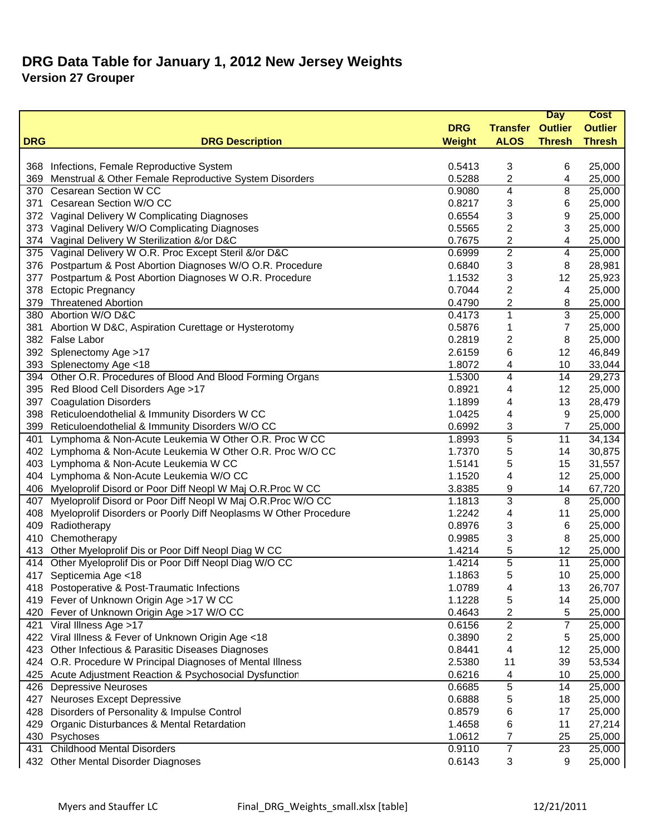|            |                                                                  |               |                 | <b>Day</b>              | <b>Cost</b>    |
|------------|------------------------------------------------------------------|---------------|-----------------|-------------------------|----------------|
|            |                                                                  | <b>DRG</b>    | <b>Transfer</b> | <b>Outlier</b>          | <b>Outlier</b> |
| <b>DRG</b> | <b>DRG Description</b>                                           | <b>Weight</b> | <b>ALOS</b>     | <b>Thresh</b>           | <b>Thresh</b>  |
|            |                                                                  |               |                 |                         |                |
| 368        | Infections, Female Reproductive System                           | 0.5413        | 3               | 6                       | 25,000         |
| 369        | Menstrual & Other Female Reproductive System Disorders           | 0.5288        | 2               | 4                       | 25,000         |
|            | 370 Cesarean Section W CC                                        | 0.9080        | 4               | 8                       | 25,000         |
| 371        | Cesarean Section W/O CC                                          | 0.8217        | 3               | 6                       | 25,000         |
|            | 372 Vaginal Delivery W Complicating Diagnoses                    | 0.6554        | 3               | 9                       | 25,000         |
|            | 373 Vaginal Delivery W/O Complicating Diagnoses                  | 0.5565        | 2               | 3                       | 25,000         |
|            | 374 Vaginal Delivery W Sterilization &/or D&C                    | 0.7675        | 2               | 4                       | 25,000         |
|            | 375 Vaginal Delivery W O.R. Proc Except Steril &/or D&C          | 0.6999        | $\overline{c}$  | $\overline{\mathbf{4}}$ | 25,000         |
|            | 376 Postpartum & Post Abortion Diagnoses W/O O.R. Procedure      | 0.6840        | 3               | 8                       | 28,981         |
|            | 377 Postpartum & Post Abortion Diagnoses W O.R. Procedure        | 1.1532        | 3               | 12                      | 25,923         |
| 378        | <b>Ectopic Pregnancy</b>                                         | 0.7044        | 2               | 4                       | 25,000         |
| 379        | <b>Threatened Abortion</b>                                       | 0.4790        | 2               | 8                       | 25,000         |
| 380        | Abortion W/O D&C                                                 | 0.4173        | 1               | 3                       | 25,000         |
| 381        | Abortion W D&C, Aspiration Curettage or Hysterotomy              | 0.5876        | 1               | 7                       | 25,000         |
|            | 382 False Labor                                                  | 0.2819        | 2               | 8                       | 25,000         |
|            | 392 Splenectomy Age >17                                          | 2.6159        | 6               | 12                      | 46,849         |
|            | 393 Splenectomy Age <18                                          | 1.8072        | 4               | 10                      | 33,044         |
|            | 394 Other O.R. Procedures of Blood And Blood Forming Organs      | 1.5300        | 4               | 14                      | 29,273         |
|            | 395 Red Blood Cell Disorders Age >17                             | 0.8921        | 4               | 12                      | 25,000         |
| 397        | <b>Coagulation Disorders</b>                                     | 1.1899        | 4               | 13                      | 28,479         |
|            | 398 Reticuloendothelial & Immunity Disorders W CC                | 1.0425        | 4               | 9                       | 25,000         |
|            | 399 Reticuloendothelial & Immunity Disorders W/O CC              | 0.6992        | 3               | $\overline{7}$          | 25,000         |
| 401        | Lymphoma & Non-Acute Leukemia W Other O.R. Proc W CC             | 1.8993        | 5               | 11                      | 34,134         |
| 402        | Lymphoma & Non-Acute Leukemia W Other O.R. Proc W/O CC           | 1.7370        | 5               | 14                      | 30,875         |
| 403        | Lymphoma & Non-Acute Leukemia W CC                               | 1.5141        | 5               | 15                      | 31,557         |
|            | 404 Lymphoma & Non-Acute Leukemia W/O CC                         | 1.1520        | 4               | 12                      | 25,000         |
|            | 406 Myeloprolif Disord or Poor Diff Neopl W Maj O.R. Proc W CC   | 3.8385        | 9               | 14                      | 67,720         |
| 407        | Myeloprolif Disord or Poor Diff Neopl W Maj O.R. Proc W/O CC     | 1.1813        | 3               | $\overline{8}$          | 25,000         |
| 408        | Myeloprolif Disorders or Poorly Diff Neoplasms W Other Procedure | 1.2242        | 4               | 11                      | 25,000         |
| 409        | Radiotherapy                                                     | 0.8976        | 3               | 6                       | 25,000         |
| 410        | Chemotherapy                                                     | 0.9985        | 3               | 8                       | 25,000         |
|            | 413 Other Myeloprolif Dis or Poor Diff Neopl Diag W CC           | 1.4214        | 5               | 12                      | 25,000         |
|            | 414 Other Myeloprolif Dis or Poor Diff Neopl Diag W/O CC         | 1.4214        | 5               | 11                      | 25,000         |
|            | 417 Septicemia Age <18                                           | 1.1863        | 5               | 10                      | 25,000         |
|            | 418 Postoperative & Post-Traumatic Infections                    | 1.0789        | 4               | 13                      | 26,707         |
|            | 419 Fever of Unknown Origin Age >17 W CC                         | 1.1228        | 5               | 14                      | 25,000         |
| 420        | Fever of Unknown Origin Age >17 W/O CC                           | 0.4643        | 2               | 5                       | 25,000         |
|            | 421 Viral Illness Age >17                                        | 0.6156        | 2               | $\overline{7}$          | 25,000         |
|            | 422 Viral Illness & Fever of Unknown Origin Age <18              | 0.3890        | 2               | 5                       | 25,000         |
|            | 423 Other Infectious & Parasitic Diseases Diagnoses              | 0.8441        | 4               | 12                      | 25,000         |
|            | 424 O.R. Procedure W Principal Diagnoses of Mental Illness       | 2.5380        | 11              | 39                      | 53,534         |
|            | 425 Acute Adjustment Reaction & Psychosocial Dysfunction         | 0.6216        | 4               | 10                      | 25,000         |
|            | 426 Depressive Neuroses                                          | 0.6685        | 5               | 14                      | 25,000         |
|            | 427 Neuroses Except Depressive                                   | 0.6888        | 5               | 18                      | 25,000         |
| 428        | Disorders of Personality & Impulse Control                       | 0.8579        | 6               | 17                      | 25,000         |
| 429        | Organic Disturbances & Mental Retardation                        | 1.4658        | 6               | 11                      | 27,214         |
|            | 430 Psychoses                                                    | 1.0612        | 7               | 25                      | 25,000         |
| 431        | <b>Childhood Mental Disorders</b>                                | 0.9110        | $\overline{7}$  | 23                      | 25,000         |
|            | 432 Other Mental Disorder Diagnoses                              | 0.6143        | 3               | 9                       | 25,000         |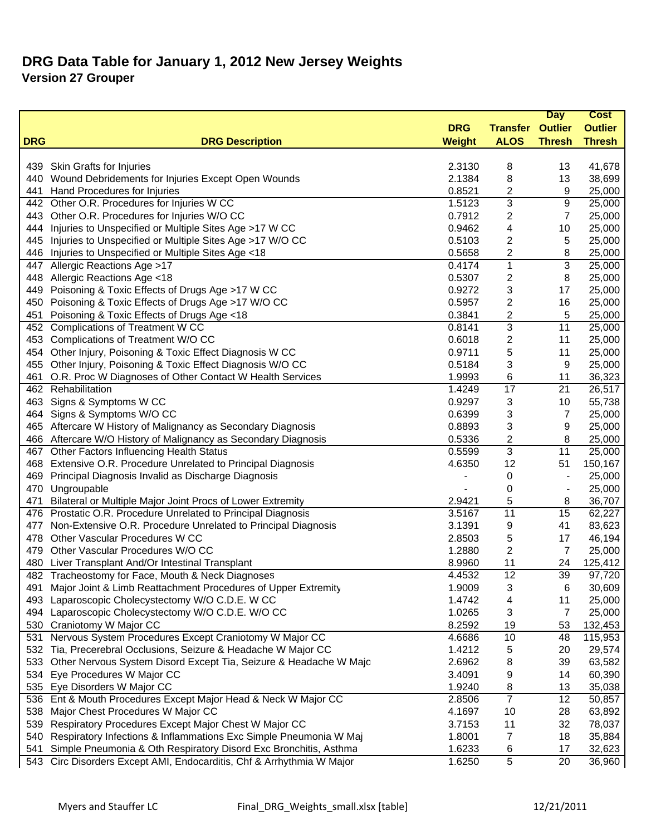|            |                                                                                                                                       |                  |                         | <b>Day</b>     | <b>Cost</b>    |
|------------|---------------------------------------------------------------------------------------------------------------------------------------|------------------|-------------------------|----------------|----------------|
|            |                                                                                                                                       | <b>DRG</b>       | <b>Transfer Outlier</b> |                | <b>Outlier</b> |
| <b>DRG</b> | <b>DRG Description</b>                                                                                                                | <b>Weight</b>    | <b>ALOS</b>             | <b>Thresh</b>  | <b>Thresh</b>  |
|            |                                                                                                                                       |                  |                         |                |                |
| 439        | Skin Grafts for Injuries                                                                                                              | 2.3130           | 8                       | 13             | 41,678         |
| 440        | Wound Debridements for Injuries Except Open Wounds                                                                                    | 2.1384           | 8                       | 13             | 38,699         |
| 441        | Hand Procedures for Injuries                                                                                                          | 0.8521           | $\overline{c}$          | 9              | 25,000         |
|            | 442 Other O.R. Procedures for Injuries W CC                                                                                           | 1.5123           | 3                       | 9              | 25,000         |
| 443        | Other O.R. Procedures for Injuries W/O CC                                                                                             | 0.7912           | 2                       | $\overline{7}$ | 25,000         |
| 444        | Injuries to Unspecified or Multiple Sites Age >17 W CC                                                                                | 0.9462           | 4                       | 10             | 25,000         |
| 445        | Injuries to Unspecified or Multiple Sites Age >17 W/O CC                                                                              | 0.5103           | 2                       | 5              | 25,000         |
|            | 446 Injuries to Unspecified or Multiple Sites Age <18                                                                                 | 0.5658           | 2                       | 8              | 25,000         |
| 447        | Allergic Reactions Age >17                                                                                                            | 0.4174           | 1                       | 3              | 25,000         |
| 448        | Allergic Reactions Age <18                                                                                                            | 0.5307           | 2                       | 8              | 25,000         |
| 449        | Poisoning & Toxic Effects of Drugs Age >17 W CC                                                                                       | 0.9272           | 3                       | 17             | 25,000         |
| 450        | Poisoning & Toxic Effects of Drugs Age >17 W/O CC                                                                                     | 0.5957           | 2                       | 16             | 25,000         |
| 451        | Poisoning & Toxic Effects of Drugs Age <18                                                                                            | 0.3841           | 2                       | 5              | 25,000         |
|            | 452 Complications of Treatment W CC                                                                                                   | 0.8141           | 3                       | 11             | 25,000         |
| 453        | Complications of Treatment W/O CC                                                                                                     | 0.6018           | 2                       | 11             | 25,000         |
| 454        | Other Injury, Poisoning & Toxic Effect Diagnosis W CC                                                                                 | 0.9711           | 5                       | 11             | 25,000         |
| 455        | Other Injury, Poisoning & Toxic Effect Diagnosis W/O CC                                                                               | 0.5184           | 3                       | 9              | 25,000         |
| 461        | O.R. Proc W Diagnoses of Other Contact W Health Services                                                                              | 1.9993           | 6                       | 11             | 36,323         |
|            | 462 Rehabilitation                                                                                                                    | 1.4249           | $\overline{17}$         | 21             | 26,517         |
| 463        | Signs & Symptoms W CC                                                                                                                 | 0.9297           | 3                       | 10             | 55,738         |
| 464        | Signs & Symptoms W/O CC                                                                                                               | 0.6399           | 3                       | 7              | 25,000         |
|            | 465 Aftercare W History of Malignancy as Secondary Diagnosis                                                                          | 0.8893           | 3                       | 9              | 25,000         |
|            | 466 Aftercare W/O History of Malignancy as Secondary Diagnosis                                                                        | 0.5336           | 2                       | 8              | 25,000         |
|            | 467 Other Factors Influencing Health Status                                                                                           | 0.5599           | 3                       | 11             | 25,000         |
|            | 468 Extensive O.R. Procedure Unrelated to Principal Diagnosis                                                                         | 4.6350           | 12                      | 51             | 150,167        |
| 469        | Principal Diagnosis Invalid as Discharge Diagnosis                                                                                    | -                | 0                       |                | 25,000         |
| 470        | Ungroupable                                                                                                                           |                  | 0                       |                | 25,000         |
| 471        | Bilateral or Multiple Major Joint Procs of Lower Extremity                                                                            | 2.9421           | 5                       | 8              | 36,707         |
|            | 476 Prostatic O.R. Procedure Unrelated to Principal Diagnosis                                                                         | 3.5167           | 11                      | 15             | 62,227         |
| 477        | Non-Extensive O.R. Procedure Unrelated to Principal Diagnosis                                                                         | 3.1391           | 9                       | 41             | 83,623         |
| 478        | Other Vascular Procedures W CC                                                                                                        | 2.8503           | 5                       | 17             | 46,194         |
| 479        | Other Vascular Procedures W/O CC                                                                                                      | 1.2880           | 2                       | $\overline{7}$ | 25,000         |
| 480        | Liver Transplant And/Or Intestinal Transplant                                                                                         | 8.9960           | 11                      | 24             | 125,412        |
|            | 482 Tracheostomy for Face, Mouth & Neck Diagnoses                                                                                     | 4.4532           | 12                      | 39             | 97,720         |
| 491        | Major Joint & Limb Reattachment Procedures of Upper Extremity                                                                         | 1.9009           | 3                       | 6              | 30,609         |
| 493.       | Laparoscopic Cholecystectomy W/O C.D.E. W CC                                                                                          | 1.4742           | 4                       | 11             | 25,000         |
| 494        | Laparoscopic Cholecystectomy W/O C.D.E. W/O CC                                                                                        | 1.0265           | 3                       | 7              | 25,000         |
|            | 530 Craniotomy W Major CC                                                                                                             | 8.2592           | 19                      | 53             | 132,453        |
| 531        | Nervous System Procedures Except Craniotomy W Major CC                                                                                | 4.6686           | 10                      | 48             | 115,953        |
|            | 532 Tia, Precerebral Occlusions, Seizure & Headache W Major CC                                                                        | 1.4212           | 5                       | 20             | 29,574         |
| 533        | Other Nervous System Disord Except Tia, Seizure & Headache W Majo                                                                     | 2.6962           | 8                       | 39             | 63,582         |
| 534        | Eye Procedures W Major CC                                                                                                             | 3.4091           | 9                       | 14             | 60,390         |
|            | 535 Eye Disorders W Major CC                                                                                                          | 1.9240           | 8                       | 13             | 35,038         |
|            | 536 Ent & Mouth Procedures Except Major Head & Neck W Major CC                                                                        | 2.8506           | $\overline{7}$          | 12             | 50,857         |
| 538        | Major Chest Procedures W Major CC                                                                                                     | 4.1697           | 10                      | 28             | 63,892         |
| 539        | Respiratory Procedures Except Major Chest W Major CC                                                                                  | 3.7153           | 11                      | 32             | 78,037         |
| 540        | Respiratory Infections & Inflammations Exc Simple Pneumonia W Maj<br>Simple Pneumonia & Oth Respiratory Disord Exc Bronchitis, Asthma | 1.8001<br>1.6233 | 7                       | 18<br>17       | 35,884         |
| 541        | Circ Disorders Except AMI, Endocarditis, Chf & Arrhythmia W Major                                                                     | 1.6250           | 6<br>5                  |                | 32,623         |
| 543        |                                                                                                                                       |                  |                         | 20             | 36,960         |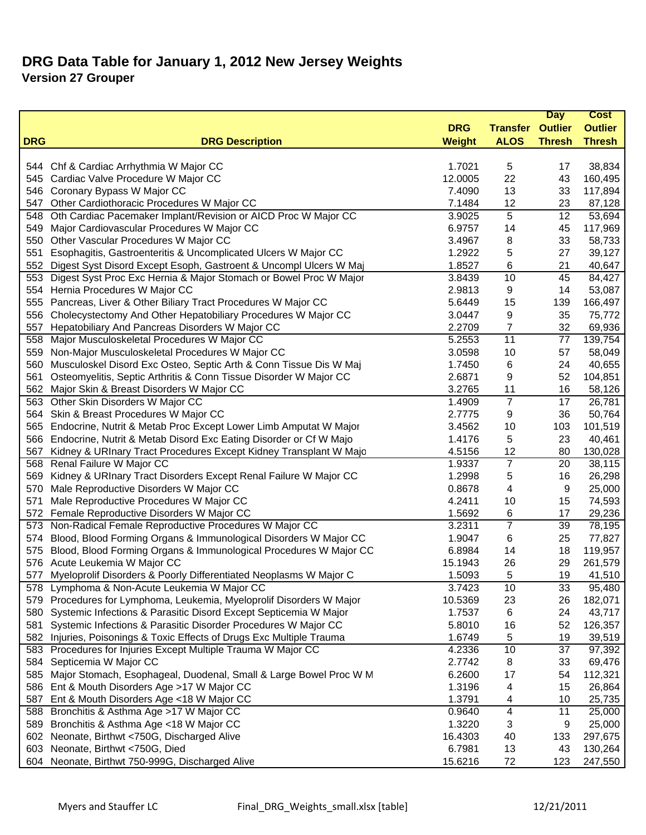| <b>DRG</b><br><b>Transfer Outlier</b><br><b>Outlier</b><br><b>ALOS</b><br><b>Thresh</b><br><b>Thresh</b><br><b>DRG</b><br><b>DRG Description</b><br><b>Weight</b><br>5<br>38,834<br>544 Chf & Cardiac Arrhythmia W Major CC<br>1.7021<br>17<br>545 Cardiac Valve Procedure W Major CC<br>12.0005<br>22<br>43<br>160,495<br>546 Coronary Bypass W Major CC<br>7.4090<br>13<br>117,894<br>33<br>Other Cardiothoracic Procedures W Major CC<br>7.1484<br>12<br>23<br>87,128<br>547<br>5<br>Oth Cardiac Pacemaker Implant/Revision or AICD Proc W Major CC<br>3.9025<br>12<br>53,694<br>548<br>6.9757<br>45<br>117,969<br>549<br>Major Cardiovascular Procedures W Major CC<br>14<br>Other Vascular Procedures W Major CC<br>3.4967<br>8<br>33<br>58,733<br>550<br>Esophagitis, Gastroenteritis & Uncomplicated Ulcers W Major CC<br>1.2922<br>5<br>27<br>39,127<br>551<br>Digest Syst Disord Except Esoph, Gastroent & Uncompl Ulcers W Maj<br>1.8527<br>21<br>40,647<br>552<br>6<br>Digest Syst Proc Exc Hernia & Major Stomach or Bowel Proc W Major<br>3.8439<br>10<br>45<br>84,427<br>553<br>554 Hernia Procedures W Major CC<br>2.9813<br>9<br>14<br>53,087<br>Pancreas, Liver & Other Biliary Tract Procedures W Major CC<br>166,497<br>5.6449<br>15<br>139<br>555<br>Cholecystectomy And Other Hepatobiliary Procedures W Major CC<br>3.0447<br>35<br>75,772<br>556<br>9<br>Hepatobiliary And Pancreas Disorders W Major CC<br>2.2709<br>$\overline{7}$<br>32<br>69,936<br>557<br>$\overline{11}$<br>Major Musculoskeletal Procedures W Major CC<br>5.2553<br>139,754<br>77<br>558<br>Non-Major Musculoskeletal Procedures W Major CC<br>57<br>58,049<br>559<br>3.0598<br>10<br>Musculoskel Disord Exc Osteo, Septic Arth & Conn Tissue Dis W Maj<br>24<br>40,655<br>1.7450<br>6<br>560<br>Osteomyelitis, Septic Arthritis & Conn Tissue Disorder W Major CC<br>2.6871<br>52<br>104,851<br>561<br>9<br>16<br>562<br>Major Skin & Breast Disorders W Major CC<br>3.2765<br>11<br>58,126<br>$\overline{7}$<br>17<br>26,781<br>Other Skin Disorders W Major CC<br>1.4909<br>563<br>Skin & Breast Procedures W Major CC<br>2.7775<br>36<br>50,764<br>9<br>564<br>565 Endocrine, Nutrit & Metab Proc Except Lower Limb Amputat W Major<br>101,519<br>3.4562<br>10<br>103<br>566 Endocrine, Nutrit & Metab Disord Exc Eating Disorder or Cf W Majo<br>5<br>23<br>1.4176<br>40,461<br>Kidney & URInary Tract Procedures Except Kidney Transplant W Majo<br>12<br>567<br>4.5156<br>80<br>130,028<br>$\overline{7}$<br>568 Renal Failure W Major CC<br>1.9337<br>20<br>38,115<br>1.2998<br>5<br>26,298<br>569 Kidney & URInary Tract Disorders Except Renal Failure W Major CC<br>16<br>Male Reproductive Disorders W Major CC<br>0.8678<br>4<br>9<br>25,000<br>570<br>4.2411<br>15<br>74,593<br>571<br>Male Reproductive Procedures W Major CC<br>10<br>1.5692<br>17<br>29,236<br>572 Female Reproductive Disorders W Major CC<br>6<br>$\overline{7}$<br>573 Non-Radical Female Reproductive Procedures W Major CC<br>3.2311<br>39<br>78,195<br>Blood, Blood Forming Organs & Immunological Disorders W Major CC<br>25<br>77,827<br>1.9047<br>6<br>574<br>Blood, Blood Forming Organs & Immunological Procedures W Major CC<br>18<br>6.8984<br>119,957<br>575<br>14<br>576 Acute Leukemia W Major CC<br>29<br>261,579<br>15.1943<br>26<br>Myeloprolif Disorders & Poorly Differentiated Neoplasms W Major C<br>1.5093<br>5<br>19<br>577<br>41,510<br>578 Lymphoma & Non-Acute Leukemia W Major CC<br>95,480<br>3.7423<br>33<br>10<br>Procedures for Lymphoma, Leukemia, Myeloprolif Disorders W Major<br>182,071<br>10.5369<br>23<br>26<br>579<br>Systemic Infections & Parasitic Disord Except Septicemia W Major<br>1.7537<br>6<br>24<br>43,717<br>580<br>Systemic Infections & Parasitic Disorder Procedures W Major CC<br>126,357<br>5.8010<br>16<br>52<br>581<br>582 Injuries, Poisonings & Toxic Effects of Drugs Exc Multiple Trauma<br>39,519<br>1.6749<br>5<br>19<br>10<br>583 Procedures for Injuries Except Multiple Trauma W Major CC<br>4.2336<br>37<br>69,476<br>584 Septicemia W Major CC<br>2.7742<br>33<br>8<br>Major Stomach, Esophageal, Duodenal, Small & Large Bowel Proc W M<br>6.2600<br>17<br>54<br>112,321<br>585<br>586 Ent & Mouth Disorders Age >17 W Major CC<br>26,864<br>1.3196<br>4<br>15<br>Ent & Mouth Disorders Age <18 W Major CC<br>1.3791<br>10<br>25,735<br>587<br>4<br>588 Bronchitis & Asthma Age >17 W Major CC<br>4<br>0.9640<br>11<br>25,000<br>1.3220<br>25,000<br>589<br>Bronchitis & Asthma Age <18 W Major CC<br>3<br>9<br>602 Neonate, Birthwt <750G, Discharged Alive<br>16.4303<br>40<br>133<br>297,675<br>6.7981<br>603 Neonate, Birthwt <750G, Died<br>13<br>43<br>130,264<br>604 Neonate, Birthwt 750-999G, Discharged Alive<br>15.6216<br>72<br>247,550<br>123 |  |  | <b>Day</b> | <b>Cost</b> |
|-------------------------------------------------------------------------------------------------------------------------------------------------------------------------------------------------------------------------------------------------------------------------------------------------------------------------------------------------------------------------------------------------------------------------------------------------------------------------------------------------------------------------------------------------------------------------------------------------------------------------------------------------------------------------------------------------------------------------------------------------------------------------------------------------------------------------------------------------------------------------------------------------------------------------------------------------------------------------------------------------------------------------------------------------------------------------------------------------------------------------------------------------------------------------------------------------------------------------------------------------------------------------------------------------------------------------------------------------------------------------------------------------------------------------------------------------------------------------------------------------------------------------------------------------------------------------------------------------------------------------------------------------------------------------------------------------------------------------------------------------------------------------------------------------------------------------------------------------------------------------------------------------------------------------------------------------------------------------------------------------------------------------------------------------------------------------------------------------------------------------------------------------------------------------------------------------------------------------------------------------------------------------------------------------------------------------------------------------------------------------------------------------------------------------------------------------------------------------------------------------------------------------------------------------------------------------------------------------------------------------------------------------------------------------------------------------------------------------------------------------------------------------------------------------------------------------------------------------------------------------------------------------------------------------------------------------------------------------------------------------------------------------------------------------------------------------------------------------------------------------------------------------------------------------------------------------------------------------------------------------------------------------------------------------------------------------------------------------------------------------------------------------------------------------------------------------------------------------------------------------------------------------------------------------------------------------------------------------------------------------------------------------------------------------------------------------------------------------------------------------------------------------------------------------------------------------------------------------------------------------------------------------------------------------------------------------------------------------------------------------------------------------------------------------------------------------------------------------------------------------------------------------------------------------------------------------------------------------------------------------------------------------------------------------------------------------------------------------------------------------------------------------------------------------------------------------------------------------------------------------------------------------------------------------------------------------------------------------------------------------------------------------------------------------------------------------------------------------------------------------------------------------------------------------------------------|--|--|------------|-------------|
|                                                                                                                                                                                                                                                                                                                                                                                                                                                                                                                                                                                                                                                                                                                                                                                                                                                                                                                                                                                                                                                                                                                                                                                                                                                                                                                                                                                                                                                                                                                                                                                                                                                                                                                                                                                                                                                                                                                                                                                                                                                                                                                                                                                                                                                                                                                                                                                                                                                                                                                                                                                                                                                                                                                                                                                                                                                                                                                                                                                                                                                                                                                                                                                                                                                                                                                                                                                                                                                                                                                                                                                                                                                                                                                                                                                                                                                                                                                                                                                                                                                                                                                                                                                                                                                                                                                                                                                                                                                                                                                                                                                                                                                                                                                                                                                                                   |  |  |            |             |
|                                                                                                                                                                                                                                                                                                                                                                                                                                                                                                                                                                                                                                                                                                                                                                                                                                                                                                                                                                                                                                                                                                                                                                                                                                                                                                                                                                                                                                                                                                                                                                                                                                                                                                                                                                                                                                                                                                                                                                                                                                                                                                                                                                                                                                                                                                                                                                                                                                                                                                                                                                                                                                                                                                                                                                                                                                                                                                                                                                                                                                                                                                                                                                                                                                                                                                                                                                                                                                                                                                                                                                                                                                                                                                                                                                                                                                                                                                                                                                                                                                                                                                                                                                                                                                                                                                                                                                                                                                                                                                                                                                                                                                                                                                                                                                                                                   |  |  |            |             |
| 97,392                                                                                                                                                                                                                                                                                                                                                                                                                                                                                                                                                                                                                                                                                                                                                                                                                                                                                                                                                                                                                                                                                                                                                                                                                                                                                                                                                                                                                                                                                                                                                                                                                                                                                                                                                                                                                                                                                                                                                                                                                                                                                                                                                                                                                                                                                                                                                                                                                                                                                                                                                                                                                                                                                                                                                                                                                                                                                                                                                                                                                                                                                                                                                                                                                                                                                                                                                                                                                                                                                                                                                                                                                                                                                                                                                                                                                                                                                                                                                                                                                                                                                                                                                                                                                                                                                                                                                                                                                                                                                                                                                                                                                                                                                                                                                                                                            |  |  |            |             |
|                                                                                                                                                                                                                                                                                                                                                                                                                                                                                                                                                                                                                                                                                                                                                                                                                                                                                                                                                                                                                                                                                                                                                                                                                                                                                                                                                                                                                                                                                                                                                                                                                                                                                                                                                                                                                                                                                                                                                                                                                                                                                                                                                                                                                                                                                                                                                                                                                                                                                                                                                                                                                                                                                                                                                                                                                                                                                                                                                                                                                                                                                                                                                                                                                                                                                                                                                                                                                                                                                                                                                                                                                                                                                                                                                                                                                                                                                                                                                                                                                                                                                                                                                                                                                                                                                                                                                                                                                                                                                                                                                                                                                                                                                                                                                                                                                   |  |  |            |             |
|                                                                                                                                                                                                                                                                                                                                                                                                                                                                                                                                                                                                                                                                                                                                                                                                                                                                                                                                                                                                                                                                                                                                                                                                                                                                                                                                                                                                                                                                                                                                                                                                                                                                                                                                                                                                                                                                                                                                                                                                                                                                                                                                                                                                                                                                                                                                                                                                                                                                                                                                                                                                                                                                                                                                                                                                                                                                                                                                                                                                                                                                                                                                                                                                                                                                                                                                                                                                                                                                                                                                                                                                                                                                                                                                                                                                                                                                                                                                                                                                                                                                                                                                                                                                                                                                                                                                                                                                                                                                                                                                                                                                                                                                                                                                                                                                                   |  |  |            |             |
|                                                                                                                                                                                                                                                                                                                                                                                                                                                                                                                                                                                                                                                                                                                                                                                                                                                                                                                                                                                                                                                                                                                                                                                                                                                                                                                                                                                                                                                                                                                                                                                                                                                                                                                                                                                                                                                                                                                                                                                                                                                                                                                                                                                                                                                                                                                                                                                                                                                                                                                                                                                                                                                                                                                                                                                                                                                                                                                                                                                                                                                                                                                                                                                                                                                                                                                                                                                                                                                                                                                                                                                                                                                                                                                                                                                                                                                                                                                                                                                                                                                                                                                                                                                                                                                                                                                                                                                                                                                                                                                                                                                                                                                                                                                                                                                                                   |  |  |            |             |
|                                                                                                                                                                                                                                                                                                                                                                                                                                                                                                                                                                                                                                                                                                                                                                                                                                                                                                                                                                                                                                                                                                                                                                                                                                                                                                                                                                                                                                                                                                                                                                                                                                                                                                                                                                                                                                                                                                                                                                                                                                                                                                                                                                                                                                                                                                                                                                                                                                                                                                                                                                                                                                                                                                                                                                                                                                                                                                                                                                                                                                                                                                                                                                                                                                                                                                                                                                                                                                                                                                                                                                                                                                                                                                                                                                                                                                                                                                                                                                                                                                                                                                                                                                                                                                                                                                                                                                                                                                                                                                                                                                                                                                                                                                                                                                                                                   |  |  |            |             |
|                                                                                                                                                                                                                                                                                                                                                                                                                                                                                                                                                                                                                                                                                                                                                                                                                                                                                                                                                                                                                                                                                                                                                                                                                                                                                                                                                                                                                                                                                                                                                                                                                                                                                                                                                                                                                                                                                                                                                                                                                                                                                                                                                                                                                                                                                                                                                                                                                                                                                                                                                                                                                                                                                                                                                                                                                                                                                                                                                                                                                                                                                                                                                                                                                                                                                                                                                                                                                                                                                                                                                                                                                                                                                                                                                                                                                                                                                                                                                                                                                                                                                                                                                                                                                                                                                                                                                                                                                                                                                                                                                                                                                                                                                                                                                                                                                   |  |  |            |             |
|                                                                                                                                                                                                                                                                                                                                                                                                                                                                                                                                                                                                                                                                                                                                                                                                                                                                                                                                                                                                                                                                                                                                                                                                                                                                                                                                                                                                                                                                                                                                                                                                                                                                                                                                                                                                                                                                                                                                                                                                                                                                                                                                                                                                                                                                                                                                                                                                                                                                                                                                                                                                                                                                                                                                                                                                                                                                                                                                                                                                                                                                                                                                                                                                                                                                                                                                                                                                                                                                                                                                                                                                                                                                                                                                                                                                                                                                                                                                                                                                                                                                                                                                                                                                                                                                                                                                                                                                                                                                                                                                                                                                                                                                                                                                                                                                                   |  |  |            |             |
|                                                                                                                                                                                                                                                                                                                                                                                                                                                                                                                                                                                                                                                                                                                                                                                                                                                                                                                                                                                                                                                                                                                                                                                                                                                                                                                                                                                                                                                                                                                                                                                                                                                                                                                                                                                                                                                                                                                                                                                                                                                                                                                                                                                                                                                                                                                                                                                                                                                                                                                                                                                                                                                                                                                                                                                                                                                                                                                                                                                                                                                                                                                                                                                                                                                                                                                                                                                                                                                                                                                                                                                                                                                                                                                                                                                                                                                                                                                                                                                                                                                                                                                                                                                                                                                                                                                                                                                                                                                                                                                                                                                                                                                                                                                                                                                                                   |  |  |            |             |
|                                                                                                                                                                                                                                                                                                                                                                                                                                                                                                                                                                                                                                                                                                                                                                                                                                                                                                                                                                                                                                                                                                                                                                                                                                                                                                                                                                                                                                                                                                                                                                                                                                                                                                                                                                                                                                                                                                                                                                                                                                                                                                                                                                                                                                                                                                                                                                                                                                                                                                                                                                                                                                                                                                                                                                                                                                                                                                                                                                                                                                                                                                                                                                                                                                                                                                                                                                                                                                                                                                                                                                                                                                                                                                                                                                                                                                                                                                                                                                                                                                                                                                                                                                                                                                                                                                                                                                                                                                                                                                                                                                                                                                                                                                                                                                                                                   |  |  |            |             |
|                                                                                                                                                                                                                                                                                                                                                                                                                                                                                                                                                                                                                                                                                                                                                                                                                                                                                                                                                                                                                                                                                                                                                                                                                                                                                                                                                                                                                                                                                                                                                                                                                                                                                                                                                                                                                                                                                                                                                                                                                                                                                                                                                                                                                                                                                                                                                                                                                                                                                                                                                                                                                                                                                                                                                                                                                                                                                                                                                                                                                                                                                                                                                                                                                                                                                                                                                                                                                                                                                                                                                                                                                                                                                                                                                                                                                                                                                                                                                                                                                                                                                                                                                                                                                                                                                                                                                                                                                                                                                                                                                                                                                                                                                                                                                                                                                   |  |  |            |             |
|                                                                                                                                                                                                                                                                                                                                                                                                                                                                                                                                                                                                                                                                                                                                                                                                                                                                                                                                                                                                                                                                                                                                                                                                                                                                                                                                                                                                                                                                                                                                                                                                                                                                                                                                                                                                                                                                                                                                                                                                                                                                                                                                                                                                                                                                                                                                                                                                                                                                                                                                                                                                                                                                                                                                                                                                                                                                                                                                                                                                                                                                                                                                                                                                                                                                                                                                                                                                                                                                                                                                                                                                                                                                                                                                                                                                                                                                                                                                                                                                                                                                                                                                                                                                                                                                                                                                                                                                                                                                                                                                                                                                                                                                                                                                                                                                                   |  |  |            |             |
|                                                                                                                                                                                                                                                                                                                                                                                                                                                                                                                                                                                                                                                                                                                                                                                                                                                                                                                                                                                                                                                                                                                                                                                                                                                                                                                                                                                                                                                                                                                                                                                                                                                                                                                                                                                                                                                                                                                                                                                                                                                                                                                                                                                                                                                                                                                                                                                                                                                                                                                                                                                                                                                                                                                                                                                                                                                                                                                                                                                                                                                                                                                                                                                                                                                                                                                                                                                                                                                                                                                                                                                                                                                                                                                                                                                                                                                                                                                                                                                                                                                                                                                                                                                                                                                                                                                                                                                                                                                                                                                                                                                                                                                                                                                                                                                                                   |  |  |            |             |
|                                                                                                                                                                                                                                                                                                                                                                                                                                                                                                                                                                                                                                                                                                                                                                                                                                                                                                                                                                                                                                                                                                                                                                                                                                                                                                                                                                                                                                                                                                                                                                                                                                                                                                                                                                                                                                                                                                                                                                                                                                                                                                                                                                                                                                                                                                                                                                                                                                                                                                                                                                                                                                                                                                                                                                                                                                                                                                                                                                                                                                                                                                                                                                                                                                                                                                                                                                                                                                                                                                                                                                                                                                                                                                                                                                                                                                                                                                                                                                                                                                                                                                                                                                                                                                                                                                                                                                                                                                                                                                                                                                                                                                                                                                                                                                                                                   |  |  |            |             |
|                                                                                                                                                                                                                                                                                                                                                                                                                                                                                                                                                                                                                                                                                                                                                                                                                                                                                                                                                                                                                                                                                                                                                                                                                                                                                                                                                                                                                                                                                                                                                                                                                                                                                                                                                                                                                                                                                                                                                                                                                                                                                                                                                                                                                                                                                                                                                                                                                                                                                                                                                                                                                                                                                                                                                                                                                                                                                                                                                                                                                                                                                                                                                                                                                                                                                                                                                                                                                                                                                                                                                                                                                                                                                                                                                                                                                                                                                                                                                                                                                                                                                                                                                                                                                                                                                                                                                                                                                                                                                                                                                                                                                                                                                                                                                                                                                   |  |  |            |             |
|                                                                                                                                                                                                                                                                                                                                                                                                                                                                                                                                                                                                                                                                                                                                                                                                                                                                                                                                                                                                                                                                                                                                                                                                                                                                                                                                                                                                                                                                                                                                                                                                                                                                                                                                                                                                                                                                                                                                                                                                                                                                                                                                                                                                                                                                                                                                                                                                                                                                                                                                                                                                                                                                                                                                                                                                                                                                                                                                                                                                                                                                                                                                                                                                                                                                                                                                                                                                                                                                                                                                                                                                                                                                                                                                                                                                                                                                                                                                                                                                                                                                                                                                                                                                                                                                                                                                                                                                                                                                                                                                                                                                                                                                                                                                                                                                                   |  |  |            |             |
|                                                                                                                                                                                                                                                                                                                                                                                                                                                                                                                                                                                                                                                                                                                                                                                                                                                                                                                                                                                                                                                                                                                                                                                                                                                                                                                                                                                                                                                                                                                                                                                                                                                                                                                                                                                                                                                                                                                                                                                                                                                                                                                                                                                                                                                                                                                                                                                                                                                                                                                                                                                                                                                                                                                                                                                                                                                                                                                                                                                                                                                                                                                                                                                                                                                                                                                                                                                                                                                                                                                                                                                                                                                                                                                                                                                                                                                                                                                                                                                                                                                                                                                                                                                                                                                                                                                                                                                                                                                                                                                                                                                                                                                                                                                                                                                                                   |  |  |            |             |
|                                                                                                                                                                                                                                                                                                                                                                                                                                                                                                                                                                                                                                                                                                                                                                                                                                                                                                                                                                                                                                                                                                                                                                                                                                                                                                                                                                                                                                                                                                                                                                                                                                                                                                                                                                                                                                                                                                                                                                                                                                                                                                                                                                                                                                                                                                                                                                                                                                                                                                                                                                                                                                                                                                                                                                                                                                                                                                                                                                                                                                                                                                                                                                                                                                                                                                                                                                                                                                                                                                                                                                                                                                                                                                                                                                                                                                                                                                                                                                                                                                                                                                                                                                                                                                                                                                                                                                                                                                                                                                                                                                                                                                                                                                                                                                                                                   |  |  |            |             |
|                                                                                                                                                                                                                                                                                                                                                                                                                                                                                                                                                                                                                                                                                                                                                                                                                                                                                                                                                                                                                                                                                                                                                                                                                                                                                                                                                                                                                                                                                                                                                                                                                                                                                                                                                                                                                                                                                                                                                                                                                                                                                                                                                                                                                                                                                                                                                                                                                                                                                                                                                                                                                                                                                                                                                                                                                                                                                                                                                                                                                                                                                                                                                                                                                                                                                                                                                                                                                                                                                                                                                                                                                                                                                                                                                                                                                                                                                                                                                                                                                                                                                                                                                                                                                                                                                                                                                                                                                                                                                                                                                                                                                                                                                                                                                                                                                   |  |  |            |             |
|                                                                                                                                                                                                                                                                                                                                                                                                                                                                                                                                                                                                                                                                                                                                                                                                                                                                                                                                                                                                                                                                                                                                                                                                                                                                                                                                                                                                                                                                                                                                                                                                                                                                                                                                                                                                                                                                                                                                                                                                                                                                                                                                                                                                                                                                                                                                                                                                                                                                                                                                                                                                                                                                                                                                                                                                                                                                                                                                                                                                                                                                                                                                                                                                                                                                                                                                                                                                                                                                                                                                                                                                                                                                                                                                                                                                                                                                                                                                                                                                                                                                                                                                                                                                                                                                                                                                                                                                                                                                                                                                                                                                                                                                                                                                                                                                                   |  |  |            |             |
|                                                                                                                                                                                                                                                                                                                                                                                                                                                                                                                                                                                                                                                                                                                                                                                                                                                                                                                                                                                                                                                                                                                                                                                                                                                                                                                                                                                                                                                                                                                                                                                                                                                                                                                                                                                                                                                                                                                                                                                                                                                                                                                                                                                                                                                                                                                                                                                                                                                                                                                                                                                                                                                                                                                                                                                                                                                                                                                                                                                                                                                                                                                                                                                                                                                                                                                                                                                                                                                                                                                                                                                                                                                                                                                                                                                                                                                                                                                                                                                                                                                                                                                                                                                                                                                                                                                                                                                                                                                                                                                                                                                                                                                                                                                                                                                                                   |  |  |            |             |
|                                                                                                                                                                                                                                                                                                                                                                                                                                                                                                                                                                                                                                                                                                                                                                                                                                                                                                                                                                                                                                                                                                                                                                                                                                                                                                                                                                                                                                                                                                                                                                                                                                                                                                                                                                                                                                                                                                                                                                                                                                                                                                                                                                                                                                                                                                                                                                                                                                                                                                                                                                                                                                                                                                                                                                                                                                                                                                                                                                                                                                                                                                                                                                                                                                                                                                                                                                                                                                                                                                                                                                                                                                                                                                                                                                                                                                                                                                                                                                                                                                                                                                                                                                                                                                                                                                                                                                                                                                                                                                                                                                                                                                                                                                                                                                                                                   |  |  |            |             |
|                                                                                                                                                                                                                                                                                                                                                                                                                                                                                                                                                                                                                                                                                                                                                                                                                                                                                                                                                                                                                                                                                                                                                                                                                                                                                                                                                                                                                                                                                                                                                                                                                                                                                                                                                                                                                                                                                                                                                                                                                                                                                                                                                                                                                                                                                                                                                                                                                                                                                                                                                                                                                                                                                                                                                                                                                                                                                                                                                                                                                                                                                                                                                                                                                                                                                                                                                                                                                                                                                                                                                                                                                                                                                                                                                                                                                                                                                                                                                                                                                                                                                                                                                                                                                                                                                                                                                                                                                                                                                                                                                                                                                                                                                                                                                                                                                   |  |  |            |             |
|                                                                                                                                                                                                                                                                                                                                                                                                                                                                                                                                                                                                                                                                                                                                                                                                                                                                                                                                                                                                                                                                                                                                                                                                                                                                                                                                                                                                                                                                                                                                                                                                                                                                                                                                                                                                                                                                                                                                                                                                                                                                                                                                                                                                                                                                                                                                                                                                                                                                                                                                                                                                                                                                                                                                                                                                                                                                                                                                                                                                                                                                                                                                                                                                                                                                                                                                                                                                                                                                                                                                                                                                                                                                                                                                                                                                                                                                                                                                                                                                                                                                                                                                                                                                                                                                                                                                                                                                                                                                                                                                                                                                                                                                                                                                                                                                                   |  |  |            |             |
|                                                                                                                                                                                                                                                                                                                                                                                                                                                                                                                                                                                                                                                                                                                                                                                                                                                                                                                                                                                                                                                                                                                                                                                                                                                                                                                                                                                                                                                                                                                                                                                                                                                                                                                                                                                                                                                                                                                                                                                                                                                                                                                                                                                                                                                                                                                                                                                                                                                                                                                                                                                                                                                                                                                                                                                                                                                                                                                                                                                                                                                                                                                                                                                                                                                                                                                                                                                                                                                                                                                                                                                                                                                                                                                                                                                                                                                                                                                                                                                                                                                                                                                                                                                                                                                                                                                                                                                                                                                                                                                                                                                                                                                                                                                                                                                                                   |  |  |            |             |
|                                                                                                                                                                                                                                                                                                                                                                                                                                                                                                                                                                                                                                                                                                                                                                                                                                                                                                                                                                                                                                                                                                                                                                                                                                                                                                                                                                                                                                                                                                                                                                                                                                                                                                                                                                                                                                                                                                                                                                                                                                                                                                                                                                                                                                                                                                                                                                                                                                                                                                                                                                                                                                                                                                                                                                                                                                                                                                                                                                                                                                                                                                                                                                                                                                                                                                                                                                                                                                                                                                                                                                                                                                                                                                                                                                                                                                                                                                                                                                                                                                                                                                                                                                                                                                                                                                                                                                                                                                                                                                                                                                                                                                                                                                                                                                                                                   |  |  |            |             |
|                                                                                                                                                                                                                                                                                                                                                                                                                                                                                                                                                                                                                                                                                                                                                                                                                                                                                                                                                                                                                                                                                                                                                                                                                                                                                                                                                                                                                                                                                                                                                                                                                                                                                                                                                                                                                                                                                                                                                                                                                                                                                                                                                                                                                                                                                                                                                                                                                                                                                                                                                                                                                                                                                                                                                                                                                                                                                                                                                                                                                                                                                                                                                                                                                                                                                                                                                                                                                                                                                                                                                                                                                                                                                                                                                                                                                                                                                                                                                                                                                                                                                                                                                                                                                                                                                                                                                                                                                                                                                                                                                                                                                                                                                                                                                                                                                   |  |  |            |             |
|                                                                                                                                                                                                                                                                                                                                                                                                                                                                                                                                                                                                                                                                                                                                                                                                                                                                                                                                                                                                                                                                                                                                                                                                                                                                                                                                                                                                                                                                                                                                                                                                                                                                                                                                                                                                                                                                                                                                                                                                                                                                                                                                                                                                                                                                                                                                                                                                                                                                                                                                                                                                                                                                                                                                                                                                                                                                                                                                                                                                                                                                                                                                                                                                                                                                                                                                                                                                                                                                                                                                                                                                                                                                                                                                                                                                                                                                                                                                                                                                                                                                                                                                                                                                                                                                                                                                                                                                                                                                                                                                                                                                                                                                                                                                                                                                                   |  |  |            |             |
|                                                                                                                                                                                                                                                                                                                                                                                                                                                                                                                                                                                                                                                                                                                                                                                                                                                                                                                                                                                                                                                                                                                                                                                                                                                                                                                                                                                                                                                                                                                                                                                                                                                                                                                                                                                                                                                                                                                                                                                                                                                                                                                                                                                                                                                                                                                                                                                                                                                                                                                                                                                                                                                                                                                                                                                                                                                                                                                                                                                                                                                                                                                                                                                                                                                                                                                                                                                                                                                                                                                                                                                                                                                                                                                                                                                                                                                                                                                                                                                                                                                                                                                                                                                                                                                                                                                                                                                                                                                                                                                                                                                                                                                                                                                                                                                                                   |  |  |            |             |
|                                                                                                                                                                                                                                                                                                                                                                                                                                                                                                                                                                                                                                                                                                                                                                                                                                                                                                                                                                                                                                                                                                                                                                                                                                                                                                                                                                                                                                                                                                                                                                                                                                                                                                                                                                                                                                                                                                                                                                                                                                                                                                                                                                                                                                                                                                                                                                                                                                                                                                                                                                                                                                                                                                                                                                                                                                                                                                                                                                                                                                                                                                                                                                                                                                                                                                                                                                                                                                                                                                                                                                                                                                                                                                                                                                                                                                                                                                                                                                                                                                                                                                                                                                                                                                                                                                                                                                                                                                                                                                                                                                                                                                                                                                                                                                                                                   |  |  |            |             |
|                                                                                                                                                                                                                                                                                                                                                                                                                                                                                                                                                                                                                                                                                                                                                                                                                                                                                                                                                                                                                                                                                                                                                                                                                                                                                                                                                                                                                                                                                                                                                                                                                                                                                                                                                                                                                                                                                                                                                                                                                                                                                                                                                                                                                                                                                                                                                                                                                                                                                                                                                                                                                                                                                                                                                                                                                                                                                                                                                                                                                                                                                                                                                                                                                                                                                                                                                                                                                                                                                                                                                                                                                                                                                                                                                                                                                                                                                                                                                                                                                                                                                                                                                                                                                                                                                                                                                                                                                                                                                                                                                                                                                                                                                                                                                                                                                   |  |  |            |             |
|                                                                                                                                                                                                                                                                                                                                                                                                                                                                                                                                                                                                                                                                                                                                                                                                                                                                                                                                                                                                                                                                                                                                                                                                                                                                                                                                                                                                                                                                                                                                                                                                                                                                                                                                                                                                                                                                                                                                                                                                                                                                                                                                                                                                                                                                                                                                                                                                                                                                                                                                                                                                                                                                                                                                                                                                                                                                                                                                                                                                                                                                                                                                                                                                                                                                                                                                                                                                                                                                                                                                                                                                                                                                                                                                                                                                                                                                                                                                                                                                                                                                                                                                                                                                                                                                                                                                                                                                                                                                                                                                                                                                                                                                                                                                                                                                                   |  |  |            |             |
|                                                                                                                                                                                                                                                                                                                                                                                                                                                                                                                                                                                                                                                                                                                                                                                                                                                                                                                                                                                                                                                                                                                                                                                                                                                                                                                                                                                                                                                                                                                                                                                                                                                                                                                                                                                                                                                                                                                                                                                                                                                                                                                                                                                                                                                                                                                                                                                                                                                                                                                                                                                                                                                                                                                                                                                                                                                                                                                                                                                                                                                                                                                                                                                                                                                                                                                                                                                                                                                                                                                                                                                                                                                                                                                                                                                                                                                                                                                                                                                                                                                                                                                                                                                                                                                                                                                                                                                                                                                                                                                                                                                                                                                                                                                                                                                                                   |  |  |            |             |
|                                                                                                                                                                                                                                                                                                                                                                                                                                                                                                                                                                                                                                                                                                                                                                                                                                                                                                                                                                                                                                                                                                                                                                                                                                                                                                                                                                                                                                                                                                                                                                                                                                                                                                                                                                                                                                                                                                                                                                                                                                                                                                                                                                                                                                                                                                                                                                                                                                                                                                                                                                                                                                                                                                                                                                                                                                                                                                                                                                                                                                                                                                                                                                                                                                                                                                                                                                                                                                                                                                                                                                                                                                                                                                                                                                                                                                                                                                                                                                                                                                                                                                                                                                                                                                                                                                                                                                                                                                                                                                                                                                                                                                                                                                                                                                                                                   |  |  |            |             |
|                                                                                                                                                                                                                                                                                                                                                                                                                                                                                                                                                                                                                                                                                                                                                                                                                                                                                                                                                                                                                                                                                                                                                                                                                                                                                                                                                                                                                                                                                                                                                                                                                                                                                                                                                                                                                                                                                                                                                                                                                                                                                                                                                                                                                                                                                                                                                                                                                                                                                                                                                                                                                                                                                                                                                                                                                                                                                                                                                                                                                                                                                                                                                                                                                                                                                                                                                                                                                                                                                                                                                                                                                                                                                                                                                                                                                                                                                                                                                                                                                                                                                                                                                                                                                                                                                                                                                                                                                                                                                                                                                                                                                                                                                                                                                                                                                   |  |  |            |             |
|                                                                                                                                                                                                                                                                                                                                                                                                                                                                                                                                                                                                                                                                                                                                                                                                                                                                                                                                                                                                                                                                                                                                                                                                                                                                                                                                                                                                                                                                                                                                                                                                                                                                                                                                                                                                                                                                                                                                                                                                                                                                                                                                                                                                                                                                                                                                                                                                                                                                                                                                                                                                                                                                                                                                                                                                                                                                                                                                                                                                                                                                                                                                                                                                                                                                                                                                                                                                                                                                                                                                                                                                                                                                                                                                                                                                                                                                                                                                                                                                                                                                                                                                                                                                                                                                                                                                                                                                                                                                                                                                                                                                                                                                                                                                                                                                                   |  |  |            |             |
|                                                                                                                                                                                                                                                                                                                                                                                                                                                                                                                                                                                                                                                                                                                                                                                                                                                                                                                                                                                                                                                                                                                                                                                                                                                                                                                                                                                                                                                                                                                                                                                                                                                                                                                                                                                                                                                                                                                                                                                                                                                                                                                                                                                                                                                                                                                                                                                                                                                                                                                                                                                                                                                                                                                                                                                                                                                                                                                                                                                                                                                                                                                                                                                                                                                                                                                                                                                                                                                                                                                                                                                                                                                                                                                                                                                                                                                                                                                                                                                                                                                                                                                                                                                                                                                                                                                                                                                                                                                                                                                                                                                                                                                                                                                                                                                                                   |  |  |            |             |
|                                                                                                                                                                                                                                                                                                                                                                                                                                                                                                                                                                                                                                                                                                                                                                                                                                                                                                                                                                                                                                                                                                                                                                                                                                                                                                                                                                                                                                                                                                                                                                                                                                                                                                                                                                                                                                                                                                                                                                                                                                                                                                                                                                                                                                                                                                                                                                                                                                                                                                                                                                                                                                                                                                                                                                                                                                                                                                                                                                                                                                                                                                                                                                                                                                                                                                                                                                                                                                                                                                                                                                                                                                                                                                                                                                                                                                                                                                                                                                                                                                                                                                                                                                                                                                                                                                                                                                                                                                                                                                                                                                                                                                                                                                                                                                                                                   |  |  |            |             |
|                                                                                                                                                                                                                                                                                                                                                                                                                                                                                                                                                                                                                                                                                                                                                                                                                                                                                                                                                                                                                                                                                                                                                                                                                                                                                                                                                                                                                                                                                                                                                                                                                                                                                                                                                                                                                                                                                                                                                                                                                                                                                                                                                                                                                                                                                                                                                                                                                                                                                                                                                                                                                                                                                                                                                                                                                                                                                                                                                                                                                                                                                                                                                                                                                                                                                                                                                                                                                                                                                                                                                                                                                                                                                                                                                                                                                                                                                                                                                                                                                                                                                                                                                                                                                                                                                                                                                                                                                                                                                                                                                                                                                                                                                                                                                                                                                   |  |  |            |             |
|                                                                                                                                                                                                                                                                                                                                                                                                                                                                                                                                                                                                                                                                                                                                                                                                                                                                                                                                                                                                                                                                                                                                                                                                                                                                                                                                                                                                                                                                                                                                                                                                                                                                                                                                                                                                                                                                                                                                                                                                                                                                                                                                                                                                                                                                                                                                                                                                                                                                                                                                                                                                                                                                                                                                                                                                                                                                                                                                                                                                                                                                                                                                                                                                                                                                                                                                                                                                                                                                                                                                                                                                                                                                                                                                                                                                                                                                                                                                                                                                                                                                                                                                                                                                                                                                                                                                                                                                                                                                                                                                                                                                                                                                                                                                                                                                                   |  |  |            |             |
|                                                                                                                                                                                                                                                                                                                                                                                                                                                                                                                                                                                                                                                                                                                                                                                                                                                                                                                                                                                                                                                                                                                                                                                                                                                                                                                                                                                                                                                                                                                                                                                                                                                                                                                                                                                                                                                                                                                                                                                                                                                                                                                                                                                                                                                                                                                                                                                                                                                                                                                                                                                                                                                                                                                                                                                                                                                                                                                                                                                                                                                                                                                                                                                                                                                                                                                                                                                                                                                                                                                                                                                                                                                                                                                                                                                                                                                                                                                                                                                                                                                                                                                                                                                                                                                                                                                                                                                                                                                                                                                                                                                                                                                                                                                                                                                                                   |  |  |            |             |
|                                                                                                                                                                                                                                                                                                                                                                                                                                                                                                                                                                                                                                                                                                                                                                                                                                                                                                                                                                                                                                                                                                                                                                                                                                                                                                                                                                                                                                                                                                                                                                                                                                                                                                                                                                                                                                                                                                                                                                                                                                                                                                                                                                                                                                                                                                                                                                                                                                                                                                                                                                                                                                                                                                                                                                                                                                                                                                                                                                                                                                                                                                                                                                                                                                                                                                                                                                                                                                                                                                                                                                                                                                                                                                                                                                                                                                                                                                                                                                                                                                                                                                                                                                                                                                                                                                                                                                                                                                                                                                                                                                                                                                                                                                                                                                                                                   |  |  |            |             |
|                                                                                                                                                                                                                                                                                                                                                                                                                                                                                                                                                                                                                                                                                                                                                                                                                                                                                                                                                                                                                                                                                                                                                                                                                                                                                                                                                                                                                                                                                                                                                                                                                                                                                                                                                                                                                                                                                                                                                                                                                                                                                                                                                                                                                                                                                                                                                                                                                                                                                                                                                                                                                                                                                                                                                                                                                                                                                                                                                                                                                                                                                                                                                                                                                                                                                                                                                                                                                                                                                                                                                                                                                                                                                                                                                                                                                                                                                                                                                                                                                                                                                                                                                                                                                                                                                                                                                                                                                                                                                                                                                                                                                                                                                                                                                                                                                   |  |  |            |             |
|                                                                                                                                                                                                                                                                                                                                                                                                                                                                                                                                                                                                                                                                                                                                                                                                                                                                                                                                                                                                                                                                                                                                                                                                                                                                                                                                                                                                                                                                                                                                                                                                                                                                                                                                                                                                                                                                                                                                                                                                                                                                                                                                                                                                                                                                                                                                                                                                                                                                                                                                                                                                                                                                                                                                                                                                                                                                                                                                                                                                                                                                                                                                                                                                                                                                                                                                                                                                                                                                                                                                                                                                                                                                                                                                                                                                                                                                                                                                                                                                                                                                                                                                                                                                                                                                                                                                                                                                                                                                                                                                                                                                                                                                                                                                                                                                                   |  |  |            |             |
|                                                                                                                                                                                                                                                                                                                                                                                                                                                                                                                                                                                                                                                                                                                                                                                                                                                                                                                                                                                                                                                                                                                                                                                                                                                                                                                                                                                                                                                                                                                                                                                                                                                                                                                                                                                                                                                                                                                                                                                                                                                                                                                                                                                                                                                                                                                                                                                                                                                                                                                                                                                                                                                                                                                                                                                                                                                                                                                                                                                                                                                                                                                                                                                                                                                                                                                                                                                                                                                                                                                                                                                                                                                                                                                                                                                                                                                                                                                                                                                                                                                                                                                                                                                                                                                                                                                                                                                                                                                                                                                                                                                                                                                                                                                                                                                                                   |  |  |            |             |
|                                                                                                                                                                                                                                                                                                                                                                                                                                                                                                                                                                                                                                                                                                                                                                                                                                                                                                                                                                                                                                                                                                                                                                                                                                                                                                                                                                                                                                                                                                                                                                                                                                                                                                                                                                                                                                                                                                                                                                                                                                                                                                                                                                                                                                                                                                                                                                                                                                                                                                                                                                                                                                                                                                                                                                                                                                                                                                                                                                                                                                                                                                                                                                                                                                                                                                                                                                                                                                                                                                                                                                                                                                                                                                                                                                                                                                                                                                                                                                                                                                                                                                                                                                                                                                                                                                                                                                                                                                                                                                                                                                                                                                                                                                                                                                                                                   |  |  |            |             |
|                                                                                                                                                                                                                                                                                                                                                                                                                                                                                                                                                                                                                                                                                                                                                                                                                                                                                                                                                                                                                                                                                                                                                                                                                                                                                                                                                                                                                                                                                                                                                                                                                                                                                                                                                                                                                                                                                                                                                                                                                                                                                                                                                                                                                                                                                                                                                                                                                                                                                                                                                                                                                                                                                                                                                                                                                                                                                                                                                                                                                                                                                                                                                                                                                                                                                                                                                                                                                                                                                                                                                                                                                                                                                                                                                                                                                                                                                                                                                                                                                                                                                                                                                                                                                                                                                                                                                                                                                                                                                                                                                                                                                                                                                                                                                                                                                   |  |  |            |             |
|                                                                                                                                                                                                                                                                                                                                                                                                                                                                                                                                                                                                                                                                                                                                                                                                                                                                                                                                                                                                                                                                                                                                                                                                                                                                                                                                                                                                                                                                                                                                                                                                                                                                                                                                                                                                                                                                                                                                                                                                                                                                                                                                                                                                                                                                                                                                                                                                                                                                                                                                                                                                                                                                                                                                                                                                                                                                                                                                                                                                                                                                                                                                                                                                                                                                                                                                                                                                                                                                                                                                                                                                                                                                                                                                                                                                                                                                                                                                                                                                                                                                                                                                                                                                                                                                                                                                                                                                                                                                                                                                                                                                                                                                                                                                                                                                                   |  |  |            |             |
|                                                                                                                                                                                                                                                                                                                                                                                                                                                                                                                                                                                                                                                                                                                                                                                                                                                                                                                                                                                                                                                                                                                                                                                                                                                                                                                                                                                                                                                                                                                                                                                                                                                                                                                                                                                                                                                                                                                                                                                                                                                                                                                                                                                                                                                                                                                                                                                                                                                                                                                                                                                                                                                                                                                                                                                                                                                                                                                                                                                                                                                                                                                                                                                                                                                                                                                                                                                                                                                                                                                                                                                                                                                                                                                                                                                                                                                                                                                                                                                                                                                                                                                                                                                                                                                                                                                                                                                                                                                                                                                                                                                                                                                                                                                                                                                                                   |  |  |            |             |
|                                                                                                                                                                                                                                                                                                                                                                                                                                                                                                                                                                                                                                                                                                                                                                                                                                                                                                                                                                                                                                                                                                                                                                                                                                                                                                                                                                                                                                                                                                                                                                                                                                                                                                                                                                                                                                                                                                                                                                                                                                                                                                                                                                                                                                                                                                                                                                                                                                                                                                                                                                                                                                                                                                                                                                                                                                                                                                                                                                                                                                                                                                                                                                                                                                                                                                                                                                                                                                                                                                                                                                                                                                                                                                                                                                                                                                                                                                                                                                                                                                                                                                                                                                                                                                                                                                                                                                                                                                                                                                                                                                                                                                                                                                                                                                                                                   |  |  |            |             |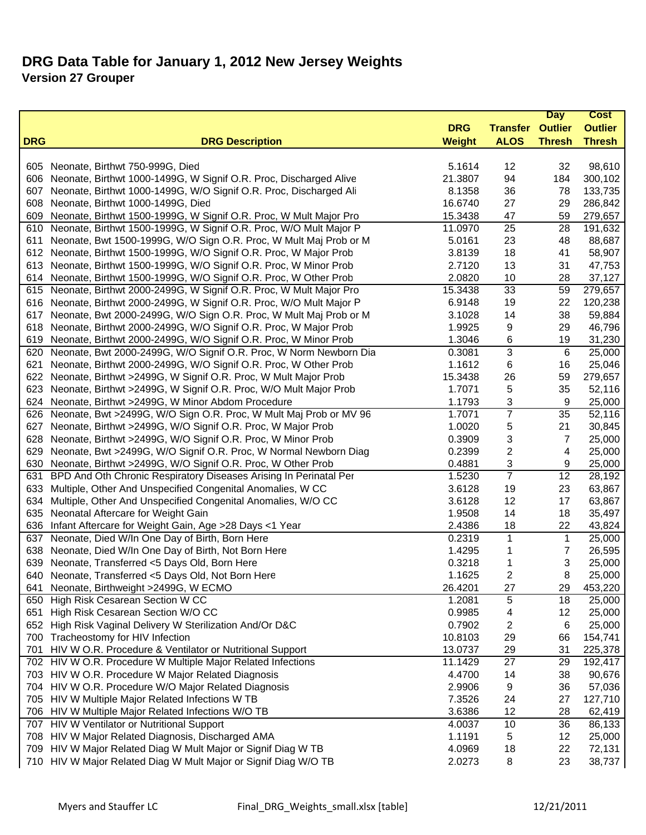|            |                                                                       |               |                         | <b>Day</b>    | Cost           |
|------------|-----------------------------------------------------------------------|---------------|-------------------------|---------------|----------------|
|            |                                                                       | <b>DRG</b>    | <b>Transfer Outlier</b> |               | <b>Outlier</b> |
| <b>DRG</b> | <b>DRG Description</b>                                                | <b>Weight</b> | <b>ALOS</b>             | <b>Thresh</b> | <b>Thresh</b>  |
|            |                                                                       |               |                         |               |                |
|            | 605 Neonate, Birthwt 750-999G, Died                                   | 5.1614        | 12                      | 32            | 98,610         |
| 606        | Neonate, Birthwt 1000-1499G, W Signif O.R. Proc, Discharged Alive     | 21.3807       | 94                      | 184           | 300,102        |
| 607        | Neonate, Birthwt 1000-1499G, W/O Signif O.R. Proc, Discharged Ali     | 8.1358        | 36                      | 78            | 133,735        |
| 608        | Neonate, Birthwt 1000-1499G, Died                                     | 16.6740       | 27                      | 29            | 286,842        |
| 609        | Neonate, Birthwt 1500-1999G, W Signif O.R. Proc, W Mult Major Pro     | 15.3438       | 47                      | 59            | 279,657        |
| 610        | Neonate, Birthwt 1500-1999G, W Signif O.R. Proc, W/O Mult Major P     | 11.0970       | $\overline{25}$         | 28            | 191,632        |
| 611        | Neonate, Bwt 1500-1999G, W/O Sign O.R. Proc, W Mult Maj Prob or M     | 5.0161        | 23                      | 48            | 88,687         |
| 612        | Neonate, Birthwt 1500-1999G, W/O Signif O.R. Proc, W Major Prob       | 3.8139        | 18                      | 41            | 58,907         |
| 613        | Neonate, Birthwt 1500-1999G, W/O Signif O.R. Proc, W Minor Prob       | 2.7120        | 13                      | 31            | 47,753         |
| 614        | Neonate, Birthwt 1500-1999G, W/O Signif O.R. Proc, W Other Prob       | 2.0820        | 10                      | 28            | 37,127         |
|            | 615 Neonate, Birthwt 2000-2499G, W Signif O.R. Proc, W Mult Major Pro | 15.3438       | 33                      | 59            | 279,657        |
| 616        | Neonate, Birthwt 2000-2499G, W Signif O.R. Proc, W/O Mult Major P     | 6.9148        | 19                      | 22            | 120,238        |
| 617        | Neonate, Bwt 2000-2499G, W/O Sign O.R. Proc, W Mult Maj Prob or M     | 3.1028        | 14                      | 38            | 59,884         |
| 618        | Neonate, Birthwt 2000-2499G, W/O Signif O.R. Proc, W Major Prob       | 1.9925        | 9                       | 29            | 46,796         |
| 619        | Neonate, Birthwt 2000-2499G, W/O Signif O.R. Proc, W Minor Prob       | 1.3046        | 6                       | 19            | 31,230         |
| 620        | Neonate, Bwt 2000-2499G, W/O Signif O.R. Proc, W Norm Newborn Dia     | 0.3081        | 3                       | 6             | 25,000         |
| 621        | Neonate, Birthwt 2000-2499G, W/O Signif O.R. Proc, W Other Prob       | 1.1612        | 6                       | 16            | 25,046         |
| 622        | Neonate, Birthwt >2499G, W Signif O.R. Proc, W Mult Major Prob        | 15.3438       | 26                      | 59            | 279,657        |
| 623        | Neonate, Birthwt >2499G, W Signif O.R. Proc, W/O Mult Major Prob      | 1.7071        | 5                       | 35            | 52,116         |
| 624        | Neonate, Birthwt >2499G, W Minor Abdom Procedure                      | 1.1793        | 3                       | 9             | 25,000         |
|            | 626 Neonate, Bwt >2499G, W/O Sign O.R. Proc, W Mult Maj Prob or MV 96 | 1.7071        | $\overline{7}$          | 35            | 52,116         |
| 627        | Neonate, Birthwt >2499G, W/O Signif O.R. Proc, W Major Prob           | 1.0020        | 5                       | 21            | 30,845         |
| 628        | Neonate, Birthwt >2499G, W/O Signif O.R. Proc, W Minor Prob           | 0.3909        | 3                       | 7             | 25,000         |
| 629        | Neonate, Bwt >2499G, W/O Signif O.R. Proc, W Normal Newborn Diag      | 0.2399        | 2                       | 4             | 25,000         |
| 630        | Neonate, Birthwt >2499G, W/O Signif O.R. Proc, W Other Prob           | 0.4881        | 3                       | 9             | 25,000         |
| 631        | BPD And Oth Chronic Respiratory Diseases Arising In Perinatal Per     | 1.5230        | $\overline{7}$          | 12            | 28,192         |
| 633        | Multiple, Other And Unspecified Congenital Anomalies, W CC            | 3.6128        | 19                      | 23            | 63,867         |
| 634        | Multiple, Other And Unspecified Congenital Anomalies, W/O CC          | 3.6128        | 12                      | 17            | 63,867         |
| 635        | Neonatal Aftercare for Weight Gain                                    | 1.9508        | 14                      | 18            | 35,497         |
| 636        | Infant Aftercare for Weight Gain, Age > 28 Days <1 Year               | 2.4386        | 18                      | 22            | 43,824         |
| 637        | Neonate, Died W/In One Day of Birth, Born Here                        | 0.2319        | $\mathbf{1}$            | 1             | 25,000         |
| 638        | Neonate, Died W/In One Day of Birth, Not Born Here                    | 1.4295        | 1                       | 7             | 26,595         |
| 639        | Neonate, Transferred <5 Days Old, Born Here                           | 0.3218        | 1                       | 3             | 25,000         |
|            | 640 Neonate, Transferred <5 Days Old, Not Born Here                   | 1.1625        | 2                       | 8             | 25,000         |
| 641        | Neonate, Birthweight >2499G, W ECMO                                   | 26.4201       | 27                      | 29            | 453,220        |
|            | 650 High Risk Cesarean Section W CC                                   | 1.2081        | 5                       | 18            | 25,000         |
| 651        | High Risk Cesarean Section W/O CC                                     | 0.9985        | 4                       | 12            | 25,000         |
|            | 652 High Risk Vaginal Delivery W Sterilization And/Or D&C             | 0.7902        | 2                       | 6             | 25,000         |
|            | 700 Tracheostomy for HIV Infection                                    | 10.8103       | 29                      | 66            | 154,741        |
|            | 701 HIV W O.R. Procedure & Ventilator or Nutritional Support          | 13.0737       | 29                      | 31            | 225,378        |
|            | 702 HIV W O.R. Procedure W Multiple Major Related Infections          | 11.1429       | 27                      | 29            | 192,417        |
|            | 703 HIV W O.R. Procedure W Major Related Diagnosis                    | 4.4700        | 14                      | 38            | 90,676         |
|            | 704 HIV W O.R. Procedure W/O Major Related Diagnosis                  | 2.9906        | 9                       | 36            | 57,036         |
|            | 705 HIV W Multiple Major Related Infections W TB                      | 7.3526        | 24                      | 27            | 127,710        |
|            | 706 HIV W Multiple Major Related Infections W/O TB                    | 3.6386        | 12                      | 28            | 62,419         |
|            | 707 HIV W Ventilator or Nutritional Support                           | 4.0037        | 10                      | 36            | 86,133         |
|            | 708 HIV W Major Related Diagnosis, Discharged AMA                     | 1.1191        | 5                       | 12            | 25,000         |
|            | 709 HIV W Major Related Diag W Mult Major or Signif Diag W TB         | 4.0969        | 18                      | 22            | 72,131         |
|            | 710 HIV W Major Related Diag W Mult Major or Signif Diag W/O TB       | 2.0273        | 8                       | 23            | 38,737         |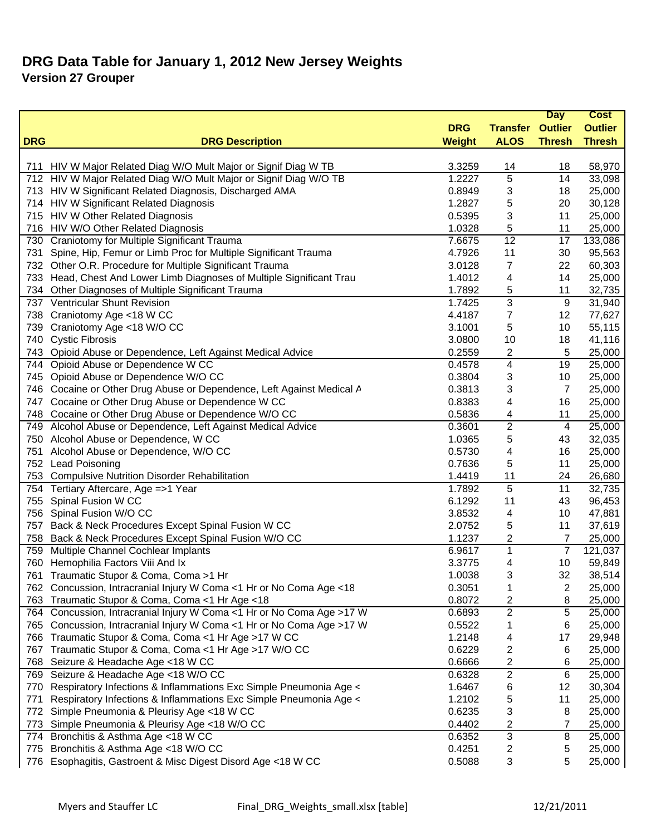| <b>DRG</b><br><b>Transfer Outlier</b><br><b>Outlier</b><br><b>DRG</b><br><b>Thresh</b><br><b>Thresh</b><br><b>DRG Description</b><br><b>Weight</b><br><b>ALOS</b><br>58,970<br>HIV W Major Related Diag W/O Mult Major or Signif Diag W TB<br>3.3259<br>14<br>18<br>711<br>712 HIV W Major Related Diag W/O Mult Major or Signif Diag W/O TB<br>5<br>1.2227<br>14<br>33,098<br>713 HIV W Significant Related Diagnosis, Discharged AMA<br>0.8949<br>18<br>25,000<br>3<br>714 HIV W Significant Related Diagnosis<br>1.2827<br>5<br>20<br>30,128<br>3<br>11<br>715 HIV W Other Related Diagnosis<br>0.5395<br>25,000<br>HIV W/O Other Related Diagnosis<br>1.0328<br>5<br>11<br>25,000<br>716<br>$\overline{12}$<br>Craniotomy for Multiple Significant Trauma<br>133,086<br>7.6675<br>17<br>730<br>Spine, Hip, Femur or Limb Proc for Multiple Significant Trauma<br>4.7926<br>30<br>95,563<br>731<br>11<br>732 Other O.R. Procedure for Multiple Significant Trauma<br>7<br>22<br>60,303<br>3.0128<br>Head, Chest And Lower Limb Diagnoses of Multiple Significant Trau<br>14<br>25,000<br>733<br>1.4012<br>4<br>Other Diagnoses of Multiple Significant Trauma<br>1.7892<br>5<br>11<br>32,735<br>734<br>3<br>737 Ventricular Shunt Revision<br>1.7425<br>9<br>31,940<br>4.4187<br>12<br>77,627<br>738 Craniotomy Age <18 W CC<br>7<br>Craniotomy Age <18 W/O CC<br>5<br>10<br>55,115<br>739<br>3.1001<br><b>Cystic Fibrosis</b><br>740<br>3.0800<br>10<br>18<br>41,116<br>0.2559<br>5<br>743<br>Opioid Abuse or Dependence, Left Against Medical Advice<br>2<br>25,000<br>Opioid Abuse or Dependence W CC<br>0.4578<br>4<br>19<br>25,000<br>744<br>Opioid Abuse or Dependence W/O CC<br>0.3804<br>10<br>745<br>3<br>25,000<br>746 Cocaine or Other Drug Abuse or Dependence, Left Against Medical A<br>0.3813<br>3<br>25,000<br>7<br>747 Cocaine or Other Drug Abuse or Dependence W CC<br>0.8383<br>25,000<br>4<br>16<br>748 Cocaine or Other Drug Abuse or Dependence W/O CC<br>0.5836<br>11<br>25,000<br>4<br>$\overline{2}$<br>749 Alcohol Abuse or Dependence, Left Against Medical Advice<br>25,000<br>0.3601<br>4<br>5<br>750 Alcohol Abuse or Dependence, W CC<br>1.0365<br>43<br>32,035<br>Alcohol Abuse or Dependence, W/O CC<br>0.5730<br>4<br>16<br>25,000<br>751<br>752 Lead Poisoning<br>5<br>11<br>25,000<br>0.7636<br>753 Compulsive Nutrition Disorder Rehabilitation<br>24<br>26,680<br>1.4419<br>11<br>5<br>1.7892<br>11<br>32,735<br>754<br>Tertiary Aftercare, Age =>1 Year<br>755<br>Spinal Fusion W CC<br>6.1292<br>11<br>43<br>96,453<br>756 Spinal Fusion W/O CC<br>3.8532<br>47,881<br>4<br>10<br>Back & Neck Procedures Except Spinal Fusion W CC<br>2.0752<br>5<br>11<br>37,619<br>757<br>Back & Neck Procedures Except Spinal Fusion W/O CC<br>1.1237<br>2<br>$\overline{7}$<br>758<br>25,000<br>$\mathbf{1}$<br>$\overline{7}$<br>Multiple Channel Cochlear Implants<br>6.9617<br>121,037<br>759<br>760<br>Hemophilia Factors Viii And Ix<br>10<br>59,849<br>3.3775<br>4<br>3<br>32<br>Traumatic Stupor & Coma, Coma >1 Hr<br>1.0038<br>38,514<br>761<br>762 Concussion, Intracranial Injury W Coma <1 Hr or No Coma Age <18<br>0.3051<br>25,000<br>2<br>1<br>Traumatic Stupor & Coma, Coma <1 Hr Age <18<br>0.8072<br>25,000<br>763<br>2<br>8<br>764 Concussion, Intracranial Injury W Coma <1 Hr or No Coma Age >17 W<br>$\overline{2}$<br>5<br>0.6893<br>25,000<br>765 Concussion, Intracranial Injury W Coma <1 Hr or No Coma Age >17 W<br>25,000<br>0.5522<br>6<br>1<br>766 Traumatic Stupor & Coma, Coma <1 Hr Age >17 W CC<br>1.2148<br>17<br>29,948<br>4<br>Traumatic Stupor & Coma, Coma <1 Hr Age >17 W/O CC<br>0.6229<br>2<br>25,000<br>767<br>6<br>Seizure & Headache Age <18 W CC<br>0.6666<br>2<br>25,000<br>768<br>6<br>$\overline{2}$<br>769 Seizure & Headache Age <18 W/O CC<br>6<br>0.6328<br>25,000<br>Respiratory Infections & Inflammations Exc Simple Pneumonia Age <<br>1.6467<br>12<br>30,304<br>770<br>6<br>Respiratory Infections & Inflammations Exc Simple Pneumonia Age <<br>1.2102<br>5<br>11<br>25,000<br>771<br>Simple Pneumonia & Pleurisy Age <18 W CC<br>3<br>0.6235<br>8<br>25,000<br>772<br>2<br>773<br>Simple Pneumonia & Pleurisy Age <18 W/O CC<br>0.4402<br>25,000<br>7<br>3<br>Bronchitis & Asthma Age <18 W CC<br>0.6352<br>8<br>25,000<br>774<br>Bronchitis & Asthma Age <18 W/O CC<br>0.4251<br>2<br>5<br>25,000<br>775<br>5<br>776 |                                                          |        |   | <b>Day</b> | <b>Cost</b> |
|-------------------------------------------------------------------------------------------------------------------------------------------------------------------------------------------------------------------------------------------------------------------------------------------------------------------------------------------------------------------------------------------------------------------------------------------------------------------------------------------------------------------------------------------------------------------------------------------------------------------------------------------------------------------------------------------------------------------------------------------------------------------------------------------------------------------------------------------------------------------------------------------------------------------------------------------------------------------------------------------------------------------------------------------------------------------------------------------------------------------------------------------------------------------------------------------------------------------------------------------------------------------------------------------------------------------------------------------------------------------------------------------------------------------------------------------------------------------------------------------------------------------------------------------------------------------------------------------------------------------------------------------------------------------------------------------------------------------------------------------------------------------------------------------------------------------------------------------------------------------------------------------------------------------------------------------------------------------------------------------------------------------------------------------------------------------------------------------------------------------------------------------------------------------------------------------------------------------------------------------------------------------------------------------------------------------------------------------------------------------------------------------------------------------------------------------------------------------------------------------------------------------------------------------------------------------------------------------------------------------------------------------------------------------------------------------------------------------------------------------------------------------------------------------------------------------------------------------------------------------------------------------------------------------------------------------------------------------------------------------------------------------------------------------------------------------------------------------------------------------------------------------------------------------------------------------------------------------------------------------------------------------------------------------------------------------------------------------------------------------------------------------------------------------------------------------------------------------------------------------------------------------------------------------------------------------------------------------------------------------------------------------------------------------------------------------------------------------------------------------------------------------------------------------------------------------------------------------------------------------------------------------------------------------------------------------------------------------------------------------------------------------------------------------------------------------------------------------------------------------------------------------------------------------------------------------------------------------------------------------------------------------------------------------------------------------------------------------------------------------------------------------------------------------|----------------------------------------------------------|--------|---|------------|-------------|
|                                                                                                                                                                                                                                                                                                                                                                                                                                                                                                                                                                                                                                                                                                                                                                                                                                                                                                                                                                                                                                                                                                                                                                                                                                                                                                                                                                                                                                                                                                                                                                                                                                                                                                                                                                                                                                                                                                                                                                                                                                                                                                                                                                                                                                                                                                                                                                                                                                                                                                                                                                                                                                                                                                                                                                                                                                                                                                                                                                                                                                                                                                                                                                                                                                                                                                                                                                                                                                                                                                                                                                                                                                                                                                                                                                                                                                                                                                                                                                                                                                                                                                                                                                                                                                                                                                                                                                                                                   |                                                          |        |   |            |             |
|                                                                                                                                                                                                                                                                                                                                                                                                                                                                                                                                                                                                                                                                                                                                                                                                                                                                                                                                                                                                                                                                                                                                                                                                                                                                                                                                                                                                                                                                                                                                                                                                                                                                                                                                                                                                                                                                                                                                                                                                                                                                                                                                                                                                                                                                                                                                                                                                                                                                                                                                                                                                                                                                                                                                                                                                                                                                                                                                                                                                                                                                                                                                                                                                                                                                                                                                                                                                                                                                                                                                                                                                                                                                                                                                                                                                                                                                                                                                                                                                                                                                                                                                                                                                                                                                                                                                                                                                                   |                                                          |        |   |            |             |
|                                                                                                                                                                                                                                                                                                                                                                                                                                                                                                                                                                                                                                                                                                                                                                                                                                                                                                                                                                                                                                                                                                                                                                                                                                                                                                                                                                                                                                                                                                                                                                                                                                                                                                                                                                                                                                                                                                                                                                                                                                                                                                                                                                                                                                                                                                                                                                                                                                                                                                                                                                                                                                                                                                                                                                                                                                                                                                                                                                                                                                                                                                                                                                                                                                                                                                                                                                                                                                                                                                                                                                                                                                                                                                                                                                                                                                                                                                                                                                                                                                                                                                                                                                                                                                                                                                                                                                                                                   |                                                          |        |   |            |             |
|                                                                                                                                                                                                                                                                                                                                                                                                                                                                                                                                                                                                                                                                                                                                                                                                                                                                                                                                                                                                                                                                                                                                                                                                                                                                                                                                                                                                                                                                                                                                                                                                                                                                                                                                                                                                                                                                                                                                                                                                                                                                                                                                                                                                                                                                                                                                                                                                                                                                                                                                                                                                                                                                                                                                                                                                                                                                                                                                                                                                                                                                                                                                                                                                                                                                                                                                                                                                                                                                                                                                                                                                                                                                                                                                                                                                                                                                                                                                                                                                                                                                                                                                                                                                                                                                                                                                                                                                                   |                                                          |        |   |            |             |
|                                                                                                                                                                                                                                                                                                                                                                                                                                                                                                                                                                                                                                                                                                                                                                                                                                                                                                                                                                                                                                                                                                                                                                                                                                                                                                                                                                                                                                                                                                                                                                                                                                                                                                                                                                                                                                                                                                                                                                                                                                                                                                                                                                                                                                                                                                                                                                                                                                                                                                                                                                                                                                                                                                                                                                                                                                                                                                                                                                                                                                                                                                                                                                                                                                                                                                                                                                                                                                                                                                                                                                                                                                                                                                                                                                                                                                                                                                                                                                                                                                                                                                                                                                                                                                                                                                                                                                                                                   |                                                          |        |   |            |             |
|                                                                                                                                                                                                                                                                                                                                                                                                                                                                                                                                                                                                                                                                                                                                                                                                                                                                                                                                                                                                                                                                                                                                                                                                                                                                                                                                                                                                                                                                                                                                                                                                                                                                                                                                                                                                                                                                                                                                                                                                                                                                                                                                                                                                                                                                                                                                                                                                                                                                                                                                                                                                                                                                                                                                                                                                                                                                                                                                                                                                                                                                                                                                                                                                                                                                                                                                                                                                                                                                                                                                                                                                                                                                                                                                                                                                                                                                                                                                                                                                                                                                                                                                                                                                                                                                                                                                                                                                                   |                                                          |        |   |            |             |
|                                                                                                                                                                                                                                                                                                                                                                                                                                                                                                                                                                                                                                                                                                                                                                                                                                                                                                                                                                                                                                                                                                                                                                                                                                                                                                                                                                                                                                                                                                                                                                                                                                                                                                                                                                                                                                                                                                                                                                                                                                                                                                                                                                                                                                                                                                                                                                                                                                                                                                                                                                                                                                                                                                                                                                                                                                                                                                                                                                                                                                                                                                                                                                                                                                                                                                                                                                                                                                                                                                                                                                                                                                                                                                                                                                                                                                                                                                                                                                                                                                                                                                                                                                                                                                                                                                                                                                                                                   |                                                          |        |   |            |             |
|                                                                                                                                                                                                                                                                                                                                                                                                                                                                                                                                                                                                                                                                                                                                                                                                                                                                                                                                                                                                                                                                                                                                                                                                                                                                                                                                                                                                                                                                                                                                                                                                                                                                                                                                                                                                                                                                                                                                                                                                                                                                                                                                                                                                                                                                                                                                                                                                                                                                                                                                                                                                                                                                                                                                                                                                                                                                                                                                                                                                                                                                                                                                                                                                                                                                                                                                                                                                                                                                                                                                                                                                                                                                                                                                                                                                                                                                                                                                                                                                                                                                                                                                                                                                                                                                                                                                                                                                                   |                                                          |        |   |            |             |
|                                                                                                                                                                                                                                                                                                                                                                                                                                                                                                                                                                                                                                                                                                                                                                                                                                                                                                                                                                                                                                                                                                                                                                                                                                                                                                                                                                                                                                                                                                                                                                                                                                                                                                                                                                                                                                                                                                                                                                                                                                                                                                                                                                                                                                                                                                                                                                                                                                                                                                                                                                                                                                                                                                                                                                                                                                                                                                                                                                                                                                                                                                                                                                                                                                                                                                                                                                                                                                                                                                                                                                                                                                                                                                                                                                                                                                                                                                                                                                                                                                                                                                                                                                                                                                                                                                                                                                                                                   |                                                          |        |   |            |             |
|                                                                                                                                                                                                                                                                                                                                                                                                                                                                                                                                                                                                                                                                                                                                                                                                                                                                                                                                                                                                                                                                                                                                                                                                                                                                                                                                                                                                                                                                                                                                                                                                                                                                                                                                                                                                                                                                                                                                                                                                                                                                                                                                                                                                                                                                                                                                                                                                                                                                                                                                                                                                                                                                                                                                                                                                                                                                                                                                                                                                                                                                                                                                                                                                                                                                                                                                                                                                                                                                                                                                                                                                                                                                                                                                                                                                                                                                                                                                                                                                                                                                                                                                                                                                                                                                                                                                                                                                                   |                                                          |        |   |            |             |
|                                                                                                                                                                                                                                                                                                                                                                                                                                                                                                                                                                                                                                                                                                                                                                                                                                                                                                                                                                                                                                                                                                                                                                                                                                                                                                                                                                                                                                                                                                                                                                                                                                                                                                                                                                                                                                                                                                                                                                                                                                                                                                                                                                                                                                                                                                                                                                                                                                                                                                                                                                                                                                                                                                                                                                                                                                                                                                                                                                                                                                                                                                                                                                                                                                                                                                                                                                                                                                                                                                                                                                                                                                                                                                                                                                                                                                                                                                                                                                                                                                                                                                                                                                                                                                                                                                                                                                                                                   |                                                          |        |   |            |             |
|                                                                                                                                                                                                                                                                                                                                                                                                                                                                                                                                                                                                                                                                                                                                                                                                                                                                                                                                                                                                                                                                                                                                                                                                                                                                                                                                                                                                                                                                                                                                                                                                                                                                                                                                                                                                                                                                                                                                                                                                                                                                                                                                                                                                                                                                                                                                                                                                                                                                                                                                                                                                                                                                                                                                                                                                                                                                                                                                                                                                                                                                                                                                                                                                                                                                                                                                                                                                                                                                                                                                                                                                                                                                                                                                                                                                                                                                                                                                                                                                                                                                                                                                                                                                                                                                                                                                                                                                                   |                                                          |        |   |            |             |
|                                                                                                                                                                                                                                                                                                                                                                                                                                                                                                                                                                                                                                                                                                                                                                                                                                                                                                                                                                                                                                                                                                                                                                                                                                                                                                                                                                                                                                                                                                                                                                                                                                                                                                                                                                                                                                                                                                                                                                                                                                                                                                                                                                                                                                                                                                                                                                                                                                                                                                                                                                                                                                                                                                                                                                                                                                                                                                                                                                                                                                                                                                                                                                                                                                                                                                                                                                                                                                                                                                                                                                                                                                                                                                                                                                                                                                                                                                                                                                                                                                                                                                                                                                                                                                                                                                                                                                                                                   |                                                          |        |   |            |             |
|                                                                                                                                                                                                                                                                                                                                                                                                                                                                                                                                                                                                                                                                                                                                                                                                                                                                                                                                                                                                                                                                                                                                                                                                                                                                                                                                                                                                                                                                                                                                                                                                                                                                                                                                                                                                                                                                                                                                                                                                                                                                                                                                                                                                                                                                                                                                                                                                                                                                                                                                                                                                                                                                                                                                                                                                                                                                                                                                                                                                                                                                                                                                                                                                                                                                                                                                                                                                                                                                                                                                                                                                                                                                                                                                                                                                                                                                                                                                                                                                                                                                                                                                                                                                                                                                                                                                                                                                                   |                                                          |        |   |            |             |
|                                                                                                                                                                                                                                                                                                                                                                                                                                                                                                                                                                                                                                                                                                                                                                                                                                                                                                                                                                                                                                                                                                                                                                                                                                                                                                                                                                                                                                                                                                                                                                                                                                                                                                                                                                                                                                                                                                                                                                                                                                                                                                                                                                                                                                                                                                                                                                                                                                                                                                                                                                                                                                                                                                                                                                                                                                                                                                                                                                                                                                                                                                                                                                                                                                                                                                                                                                                                                                                                                                                                                                                                                                                                                                                                                                                                                                                                                                                                                                                                                                                                                                                                                                                                                                                                                                                                                                                                                   |                                                          |        |   |            |             |
|                                                                                                                                                                                                                                                                                                                                                                                                                                                                                                                                                                                                                                                                                                                                                                                                                                                                                                                                                                                                                                                                                                                                                                                                                                                                                                                                                                                                                                                                                                                                                                                                                                                                                                                                                                                                                                                                                                                                                                                                                                                                                                                                                                                                                                                                                                                                                                                                                                                                                                                                                                                                                                                                                                                                                                                                                                                                                                                                                                                                                                                                                                                                                                                                                                                                                                                                                                                                                                                                                                                                                                                                                                                                                                                                                                                                                                                                                                                                                                                                                                                                                                                                                                                                                                                                                                                                                                                                                   |                                                          |        |   |            |             |
|                                                                                                                                                                                                                                                                                                                                                                                                                                                                                                                                                                                                                                                                                                                                                                                                                                                                                                                                                                                                                                                                                                                                                                                                                                                                                                                                                                                                                                                                                                                                                                                                                                                                                                                                                                                                                                                                                                                                                                                                                                                                                                                                                                                                                                                                                                                                                                                                                                                                                                                                                                                                                                                                                                                                                                                                                                                                                                                                                                                                                                                                                                                                                                                                                                                                                                                                                                                                                                                                                                                                                                                                                                                                                                                                                                                                                                                                                                                                                                                                                                                                                                                                                                                                                                                                                                                                                                                                                   |                                                          |        |   |            |             |
|                                                                                                                                                                                                                                                                                                                                                                                                                                                                                                                                                                                                                                                                                                                                                                                                                                                                                                                                                                                                                                                                                                                                                                                                                                                                                                                                                                                                                                                                                                                                                                                                                                                                                                                                                                                                                                                                                                                                                                                                                                                                                                                                                                                                                                                                                                                                                                                                                                                                                                                                                                                                                                                                                                                                                                                                                                                                                                                                                                                                                                                                                                                                                                                                                                                                                                                                                                                                                                                                                                                                                                                                                                                                                                                                                                                                                                                                                                                                                                                                                                                                                                                                                                                                                                                                                                                                                                                                                   |                                                          |        |   |            |             |
|                                                                                                                                                                                                                                                                                                                                                                                                                                                                                                                                                                                                                                                                                                                                                                                                                                                                                                                                                                                                                                                                                                                                                                                                                                                                                                                                                                                                                                                                                                                                                                                                                                                                                                                                                                                                                                                                                                                                                                                                                                                                                                                                                                                                                                                                                                                                                                                                                                                                                                                                                                                                                                                                                                                                                                                                                                                                                                                                                                                                                                                                                                                                                                                                                                                                                                                                                                                                                                                                                                                                                                                                                                                                                                                                                                                                                                                                                                                                                                                                                                                                                                                                                                                                                                                                                                                                                                                                                   |                                                          |        |   |            |             |
|                                                                                                                                                                                                                                                                                                                                                                                                                                                                                                                                                                                                                                                                                                                                                                                                                                                                                                                                                                                                                                                                                                                                                                                                                                                                                                                                                                                                                                                                                                                                                                                                                                                                                                                                                                                                                                                                                                                                                                                                                                                                                                                                                                                                                                                                                                                                                                                                                                                                                                                                                                                                                                                                                                                                                                                                                                                                                                                                                                                                                                                                                                                                                                                                                                                                                                                                                                                                                                                                                                                                                                                                                                                                                                                                                                                                                                                                                                                                                                                                                                                                                                                                                                                                                                                                                                                                                                                                                   |                                                          |        |   |            |             |
|                                                                                                                                                                                                                                                                                                                                                                                                                                                                                                                                                                                                                                                                                                                                                                                                                                                                                                                                                                                                                                                                                                                                                                                                                                                                                                                                                                                                                                                                                                                                                                                                                                                                                                                                                                                                                                                                                                                                                                                                                                                                                                                                                                                                                                                                                                                                                                                                                                                                                                                                                                                                                                                                                                                                                                                                                                                                                                                                                                                                                                                                                                                                                                                                                                                                                                                                                                                                                                                                                                                                                                                                                                                                                                                                                                                                                                                                                                                                                                                                                                                                                                                                                                                                                                                                                                                                                                                                                   |                                                          |        |   |            |             |
|                                                                                                                                                                                                                                                                                                                                                                                                                                                                                                                                                                                                                                                                                                                                                                                                                                                                                                                                                                                                                                                                                                                                                                                                                                                                                                                                                                                                                                                                                                                                                                                                                                                                                                                                                                                                                                                                                                                                                                                                                                                                                                                                                                                                                                                                                                                                                                                                                                                                                                                                                                                                                                                                                                                                                                                                                                                                                                                                                                                                                                                                                                                                                                                                                                                                                                                                                                                                                                                                                                                                                                                                                                                                                                                                                                                                                                                                                                                                                                                                                                                                                                                                                                                                                                                                                                                                                                                                                   |                                                          |        |   |            |             |
|                                                                                                                                                                                                                                                                                                                                                                                                                                                                                                                                                                                                                                                                                                                                                                                                                                                                                                                                                                                                                                                                                                                                                                                                                                                                                                                                                                                                                                                                                                                                                                                                                                                                                                                                                                                                                                                                                                                                                                                                                                                                                                                                                                                                                                                                                                                                                                                                                                                                                                                                                                                                                                                                                                                                                                                                                                                                                                                                                                                                                                                                                                                                                                                                                                                                                                                                                                                                                                                                                                                                                                                                                                                                                                                                                                                                                                                                                                                                                                                                                                                                                                                                                                                                                                                                                                                                                                                                                   |                                                          |        |   |            |             |
|                                                                                                                                                                                                                                                                                                                                                                                                                                                                                                                                                                                                                                                                                                                                                                                                                                                                                                                                                                                                                                                                                                                                                                                                                                                                                                                                                                                                                                                                                                                                                                                                                                                                                                                                                                                                                                                                                                                                                                                                                                                                                                                                                                                                                                                                                                                                                                                                                                                                                                                                                                                                                                                                                                                                                                                                                                                                                                                                                                                                                                                                                                                                                                                                                                                                                                                                                                                                                                                                                                                                                                                                                                                                                                                                                                                                                                                                                                                                                                                                                                                                                                                                                                                                                                                                                                                                                                                                                   |                                                          |        |   |            |             |
|                                                                                                                                                                                                                                                                                                                                                                                                                                                                                                                                                                                                                                                                                                                                                                                                                                                                                                                                                                                                                                                                                                                                                                                                                                                                                                                                                                                                                                                                                                                                                                                                                                                                                                                                                                                                                                                                                                                                                                                                                                                                                                                                                                                                                                                                                                                                                                                                                                                                                                                                                                                                                                                                                                                                                                                                                                                                                                                                                                                                                                                                                                                                                                                                                                                                                                                                                                                                                                                                                                                                                                                                                                                                                                                                                                                                                                                                                                                                                                                                                                                                                                                                                                                                                                                                                                                                                                                                                   |                                                          |        |   |            |             |
|                                                                                                                                                                                                                                                                                                                                                                                                                                                                                                                                                                                                                                                                                                                                                                                                                                                                                                                                                                                                                                                                                                                                                                                                                                                                                                                                                                                                                                                                                                                                                                                                                                                                                                                                                                                                                                                                                                                                                                                                                                                                                                                                                                                                                                                                                                                                                                                                                                                                                                                                                                                                                                                                                                                                                                                                                                                                                                                                                                                                                                                                                                                                                                                                                                                                                                                                                                                                                                                                                                                                                                                                                                                                                                                                                                                                                                                                                                                                                                                                                                                                                                                                                                                                                                                                                                                                                                                                                   |                                                          |        |   |            |             |
|                                                                                                                                                                                                                                                                                                                                                                                                                                                                                                                                                                                                                                                                                                                                                                                                                                                                                                                                                                                                                                                                                                                                                                                                                                                                                                                                                                                                                                                                                                                                                                                                                                                                                                                                                                                                                                                                                                                                                                                                                                                                                                                                                                                                                                                                                                                                                                                                                                                                                                                                                                                                                                                                                                                                                                                                                                                                                                                                                                                                                                                                                                                                                                                                                                                                                                                                                                                                                                                                                                                                                                                                                                                                                                                                                                                                                                                                                                                                                                                                                                                                                                                                                                                                                                                                                                                                                                                                                   |                                                          |        |   |            |             |
|                                                                                                                                                                                                                                                                                                                                                                                                                                                                                                                                                                                                                                                                                                                                                                                                                                                                                                                                                                                                                                                                                                                                                                                                                                                                                                                                                                                                                                                                                                                                                                                                                                                                                                                                                                                                                                                                                                                                                                                                                                                                                                                                                                                                                                                                                                                                                                                                                                                                                                                                                                                                                                                                                                                                                                                                                                                                                                                                                                                                                                                                                                                                                                                                                                                                                                                                                                                                                                                                                                                                                                                                                                                                                                                                                                                                                                                                                                                                                                                                                                                                                                                                                                                                                                                                                                                                                                                                                   |                                                          |        |   |            |             |
|                                                                                                                                                                                                                                                                                                                                                                                                                                                                                                                                                                                                                                                                                                                                                                                                                                                                                                                                                                                                                                                                                                                                                                                                                                                                                                                                                                                                                                                                                                                                                                                                                                                                                                                                                                                                                                                                                                                                                                                                                                                                                                                                                                                                                                                                                                                                                                                                                                                                                                                                                                                                                                                                                                                                                                                                                                                                                                                                                                                                                                                                                                                                                                                                                                                                                                                                                                                                                                                                                                                                                                                                                                                                                                                                                                                                                                                                                                                                                                                                                                                                                                                                                                                                                                                                                                                                                                                                                   |                                                          |        |   |            |             |
|                                                                                                                                                                                                                                                                                                                                                                                                                                                                                                                                                                                                                                                                                                                                                                                                                                                                                                                                                                                                                                                                                                                                                                                                                                                                                                                                                                                                                                                                                                                                                                                                                                                                                                                                                                                                                                                                                                                                                                                                                                                                                                                                                                                                                                                                                                                                                                                                                                                                                                                                                                                                                                                                                                                                                                                                                                                                                                                                                                                                                                                                                                                                                                                                                                                                                                                                                                                                                                                                                                                                                                                                                                                                                                                                                                                                                                                                                                                                                                                                                                                                                                                                                                                                                                                                                                                                                                                                                   |                                                          |        |   |            |             |
|                                                                                                                                                                                                                                                                                                                                                                                                                                                                                                                                                                                                                                                                                                                                                                                                                                                                                                                                                                                                                                                                                                                                                                                                                                                                                                                                                                                                                                                                                                                                                                                                                                                                                                                                                                                                                                                                                                                                                                                                                                                                                                                                                                                                                                                                                                                                                                                                                                                                                                                                                                                                                                                                                                                                                                                                                                                                                                                                                                                                                                                                                                                                                                                                                                                                                                                                                                                                                                                                                                                                                                                                                                                                                                                                                                                                                                                                                                                                                                                                                                                                                                                                                                                                                                                                                                                                                                                                                   |                                                          |        |   |            |             |
|                                                                                                                                                                                                                                                                                                                                                                                                                                                                                                                                                                                                                                                                                                                                                                                                                                                                                                                                                                                                                                                                                                                                                                                                                                                                                                                                                                                                                                                                                                                                                                                                                                                                                                                                                                                                                                                                                                                                                                                                                                                                                                                                                                                                                                                                                                                                                                                                                                                                                                                                                                                                                                                                                                                                                                                                                                                                                                                                                                                                                                                                                                                                                                                                                                                                                                                                                                                                                                                                                                                                                                                                                                                                                                                                                                                                                                                                                                                                                                                                                                                                                                                                                                                                                                                                                                                                                                                                                   |                                                          |        |   |            |             |
|                                                                                                                                                                                                                                                                                                                                                                                                                                                                                                                                                                                                                                                                                                                                                                                                                                                                                                                                                                                                                                                                                                                                                                                                                                                                                                                                                                                                                                                                                                                                                                                                                                                                                                                                                                                                                                                                                                                                                                                                                                                                                                                                                                                                                                                                                                                                                                                                                                                                                                                                                                                                                                                                                                                                                                                                                                                                                                                                                                                                                                                                                                                                                                                                                                                                                                                                                                                                                                                                                                                                                                                                                                                                                                                                                                                                                                                                                                                                                                                                                                                                                                                                                                                                                                                                                                                                                                                                                   |                                                          |        |   |            |             |
|                                                                                                                                                                                                                                                                                                                                                                                                                                                                                                                                                                                                                                                                                                                                                                                                                                                                                                                                                                                                                                                                                                                                                                                                                                                                                                                                                                                                                                                                                                                                                                                                                                                                                                                                                                                                                                                                                                                                                                                                                                                                                                                                                                                                                                                                                                                                                                                                                                                                                                                                                                                                                                                                                                                                                                                                                                                                                                                                                                                                                                                                                                                                                                                                                                                                                                                                                                                                                                                                                                                                                                                                                                                                                                                                                                                                                                                                                                                                                                                                                                                                                                                                                                                                                                                                                                                                                                                                                   |                                                          |        |   |            |             |
|                                                                                                                                                                                                                                                                                                                                                                                                                                                                                                                                                                                                                                                                                                                                                                                                                                                                                                                                                                                                                                                                                                                                                                                                                                                                                                                                                                                                                                                                                                                                                                                                                                                                                                                                                                                                                                                                                                                                                                                                                                                                                                                                                                                                                                                                                                                                                                                                                                                                                                                                                                                                                                                                                                                                                                                                                                                                                                                                                                                                                                                                                                                                                                                                                                                                                                                                                                                                                                                                                                                                                                                                                                                                                                                                                                                                                                                                                                                                                                                                                                                                                                                                                                                                                                                                                                                                                                                                                   |                                                          |        |   |            |             |
|                                                                                                                                                                                                                                                                                                                                                                                                                                                                                                                                                                                                                                                                                                                                                                                                                                                                                                                                                                                                                                                                                                                                                                                                                                                                                                                                                                                                                                                                                                                                                                                                                                                                                                                                                                                                                                                                                                                                                                                                                                                                                                                                                                                                                                                                                                                                                                                                                                                                                                                                                                                                                                                                                                                                                                                                                                                                                                                                                                                                                                                                                                                                                                                                                                                                                                                                                                                                                                                                                                                                                                                                                                                                                                                                                                                                                                                                                                                                                                                                                                                                                                                                                                                                                                                                                                                                                                                                                   |                                                          |        |   |            |             |
|                                                                                                                                                                                                                                                                                                                                                                                                                                                                                                                                                                                                                                                                                                                                                                                                                                                                                                                                                                                                                                                                                                                                                                                                                                                                                                                                                                                                                                                                                                                                                                                                                                                                                                                                                                                                                                                                                                                                                                                                                                                                                                                                                                                                                                                                                                                                                                                                                                                                                                                                                                                                                                                                                                                                                                                                                                                                                                                                                                                                                                                                                                                                                                                                                                                                                                                                                                                                                                                                                                                                                                                                                                                                                                                                                                                                                                                                                                                                                                                                                                                                                                                                                                                                                                                                                                                                                                                                                   |                                                          |        |   |            |             |
|                                                                                                                                                                                                                                                                                                                                                                                                                                                                                                                                                                                                                                                                                                                                                                                                                                                                                                                                                                                                                                                                                                                                                                                                                                                                                                                                                                                                                                                                                                                                                                                                                                                                                                                                                                                                                                                                                                                                                                                                                                                                                                                                                                                                                                                                                                                                                                                                                                                                                                                                                                                                                                                                                                                                                                                                                                                                                                                                                                                                                                                                                                                                                                                                                                                                                                                                                                                                                                                                                                                                                                                                                                                                                                                                                                                                                                                                                                                                                                                                                                                                                                                                                                                                                                                                                                                                                                                                                   |                                                          |        |   |            |             |
|                                                                                                                                                                                                                                                                                                                                                                                                                                                                                                                                                                                                                                                                                                                                                                                                                                                                                                                                                                                                                                                                                                                                                                                                                                                                                                                                                                                                                                                                                                                                                                                                                                                                                                                                                                                                                                                                                                                                                                                                                                                                                                                                                                                                                                                                                                                                                                                                                                                                                                                                                                                                                                                                                                                                                                                                                                                                                                                                                                                                                                                                                                                                                                                                                                                                                                                                                                                                                                                                                                                                                                                                                                                                                                                                                                                                                                                                                                                                                                                                                                                                                                                                                                                                                                                                                                                                                                                                                   |                                                          |        |   |            |             |
|                                                                                                                                                                                                                                                                                                                                                                                                                                                                                                                                                                                                                                                                                                                                                                                                                                                                                                                                                                                                                                                                                                                                                                                                                                                                                                                                                                                                                                                                                                                                                                                                                                                                                                                                                                                                                                                                                                                                                                                                                                                                                                                                                                                                                                                                                                                                                                                                                                                                                                                                                                                                                                                                                                                                                                                                                                                                                                                                                                                                                                                                                                                                                                                                                                                                                                                                                                                                                                                                                                                                                                                                                                                                                                                                                                                                                                                                                                                                                                                                                                                                                                                                                                                                                                                                                                                                                                                                                   |                                                          |        |   |            |             |
|                                                                                                                                                                                                                                                                                                                                                                                                                                                                                                                                                                                                                                                                                                                                                                                                                                                                                                                                                                                                                                                                                                                                                                                                                                                                                                                                                                                                                                                                                                                                                                                                                                                                                                                                                                                                                                                                                                                                                                                                                                                                                                                                                                                                                                                                                                                                                                                                                                                                                                                                                                                                                                                                                                                                                                                                                                                                                                                                                                                                                                                                                                                                                                                                                                                                                                                                                                                                                                                                                                                                                                                                                                                                                                                                                                                                                                                                                                                                                                                                                                                                                                                                                                                                                                                                                                                                                                                                                   |                                                          |        |   |            |             |
|                                                                                                                                                                                                                                                                                                                                                                                                                                                                                                                                                                                                                                                                                                                                                                                                                                                                                                                                                                                                                                                                                                                                                                                                                                                                                                                                                                                                                                                                                                                                                                                                                                                                                                                                                                                                                                                                                                                                                                                                                                                                                                                                                                                                                                                                                                                                                                                                                                                                                                                                                                                                                                                                                                                                                                                                                                                                                                                                                                                                                                                                                                                                                                                                                                                                                                                                                                                                                                                                                                                                                                                                                                                                                                                                                                                                                                                                                                                                                                                                                                                                                                                                                                                                                                                                                                                                                                                                                   |                                                          |        |   |            |             |
|                                                                                                                                                                                                                                                                                                                                                                                                                                                                                                                                                                                                                                                                                                                                                                                                                                                                                                                                                                                                                                                                                                                                                                                                                                                                                                                                                                                                                                                                                                                                                                                                                                                                                                                                                                                                                                                                                                                                                                                                                                                                                                                                                                                                                                                                                                                                                                                                                                                                                                                                                                                                                                                                                                                                                                                                                                                                                                                                                                                                                                                                                                                                                                                                                                                                                                                                                                                                                                                                                                                                                                                                                                                                                                                                                                                                                                                                                                                                                                                                                                                                                                                                                                                                                                                                                                                                                                                                                   |                                                          |        |   |            |             |
|                                                                                                                                                                                                                                                                                                                                                                                                                                                                                                                                                                                                                                                                                                                                                                                                                                                                                                                                                                                                                                                                                                                                                                                                                                                                                                                                                                                                                                                                                                                                                                                                                                                                                                                                                                                                                                                                                                                                                                                                                                                                                                                                                                                                                                                                                                                                                                                                                                                                                                                                                                                                                                                                                                                                                                                                                                                                                                                                                                                                                                                                                                                                                                                                                                                                                                                                                                                                                                                                                                                                                                                                                                                                                                                                                                                                                                                                                                                                                                                                                                                                                                                                                                                                                                                                                                                                                                                                                   |                                                          |        |   |            |             |
|                                                                                                                                                                                                                                                                                                                                                                                                                                                                                                                                                                                                                                                                                                                                                                                                                                                                                                                                                                                                                                                                                                                                                                                                                                                                                                                                                                                                                                                                                                                                                                                                                                                                                                                                                                                                                                                                                                                                                                                                                                                                                                                                                                                                                                                                                                                                                                                                                                                                                                                                                                                                                                                                                                                                                                                                                                                                                                                                                                                                                                                                                                                                                                                                                                                                                                                                                                                                                                                                                                                                                                                                                                                                                                                                                                                                                                                                                                                                                                                                                                                                                                                                                                                                                                                                                                                                                                                                                   |                                                          |        |   |            |             |
|                                                                                                                                                                                                                                                                                                                                                                                                                                                                                                                                                                                                                                                                                                                                                                                                                                                                                                                                                                                                                                                                                                                                                                                                                                                                                                                                                                                                                                                                                                                                                                                                                                                                                                                                                                                                                                                                                                                                                                                                                                                                                                                                                                                                                                                                                                                                                                                                                                                                                                                                                                                                                                                                                                                                                                                                                                                                                                                                                                                                                                                                                                                                                                                                                                                                                                                                                                                                                                                                                                                                                                                                                                                                                                                                                                                                                                                                                                                                                                                                                                                                                                                                                                                                                                                                                                                                                                                                                   |                                                          |        |   |            |             |
|                                                                                                                                                                                                                                                                                                                                                                                                                                                                                                                                                                                                                                                                                                                                                                                                                                                                                                                                                                                                                                                                                                                                                                                                                                                                                                                                                                                                                                                                                                                                                                                                                                                                                                                                                                                                                                                                                                                                                                                                                                                                                                                                                                                                                                                                                                                                                                                                                                                                                                                                                                                                                                                                                                                                                                                                                                                                                                                                                                                                                                                                                                                                                                                                                                                                                                                                                                                                                                                                                                                                                                                                                                                                                                                                                                                                                                                                                                                                                                                                                                                                                                                                                                                                                                                                                                                                                                                                                   |                                                          |        |   |            |             |
|                                                                                                                                                                                                                                                                                                                                                                                                                                                                                                                                                                                                                                                                                                                                                                                                                                                                                                                                                                                                                                                                                                                                                                                                                                                                                                                                                                                                                                                                                                                                                                                                                                                                                                                                                                                                                                                                                                                                                                                                                                                                                                                                                                                                                                                                                                                                                                                                                                                                                                                                                                                                                                                                                                                                                                                                                                                                                                                                                                                                                                                                                                                                                                                                                                                                                                                                                                                                                                                                                                                                                                                                                                                                                                                                                                                                                                                                                                                                                                                                                                                                                                                                                                                                                                                                                                                                                                                                                   |                                                          |        |   |            |             |
|                                                                                                                                                                                                                                                                                                                                                                                                                                                                                                                                                                                                                                                                                                                                                                                                                                                                                                                                                                                                                                                                                                                                                                                                                                                                                                                                                                                                                                                                                                                                                                                                                                                                                                                                                                                                                                                                                                                                                                                                                                                                                                                                                                                                                                                                                                                                                                                                                                                                                                                                                                                                                                                                                                                                                                                                                                                                                                                                                                                                                                                                                                                                                                                                                                                                                                                                                                                                                                                                                                                                                                                                                                                                                                                                                                                                                                                                                                                                                                                                                                                                                                                                                                                                                                                                                                                                                                                                                   |                                                          |        |   |            |             |
|                                                                                                                                                                                                                                                                                                                                                                                                                                                                                                                                                                                                                                                                                                                                                                                                                                                                                                                                                                                                                                                                                                                                                                                                                                                                                                                                                                                                                                                                                                                                                                                                                                                                                                                                                                                                                                                                                                                                                                                                                                                                                                                                                                                                                                                                                                                                                                                                                                                                                                                                                                                                                                                                                                                                                                                                                                                                                                                                                                                                                                                                                                                                                                                                                                                                                                                                                                                                                                                                                                                                                                                                                                                                                                                                                                                                                                                                                                                                                                                                                                                                                                                                                                                                                                                                                                                                                                                                                   |                                                          |        |   |            |             |
|                                                                                                                                                                                                                                                                                                                                                                                                                                                                                                                                                                                                                                                                                                                                                                                                                                                                                                                                                                                                                                                                                                                                                                                                                                                                                                                                                                                                                                                                                                                                                                                                                                                                                                                                                                                                                                                                                                                                                                                                                                                                                                                                                                                                                                                                                                                                                                                                                                                                                                                                                                                                                                                                                                                                                                                                                                                                                                                                                                                                                                                                                                                                                                                                                                                                                                                                                                                                                                                                                                                                                                                                                                                                                                                                                                                                                                                                                                                                                                                                                                                                                                                                                                                                                                                                                                                                                                                                                   |                                                          |        |   |            |             |
|                                                                                                                                                                                                                                                                                                                                                                                                                                                                                                                                                                                                                                                                                                                                                                                                                                                                                                                                                                                                                                                                                                                                                                                                                                                                                                                                                                                                                                                                                                                                                                                                                                                                                                                                                                                                                                                                                                                                                                                                                                                                                                                                                                                                                                                                                                                                                                                                                                                                                                                                                                                                                                                                                                                                                                                                                                                                                                                                                                                                                                                                                                                                                                                                                                                                                                                                                                                                                                                                                                                                                                                                                                                                                                                                                                                                                                                                                                                                                                                                                                                                                                                                                                                                                                                                                                                                                                                                                   | Esophagitis, Gastroent & Misc Digest Disord Age <18 W CC | 0.5088 | 3 |            | 25,000      |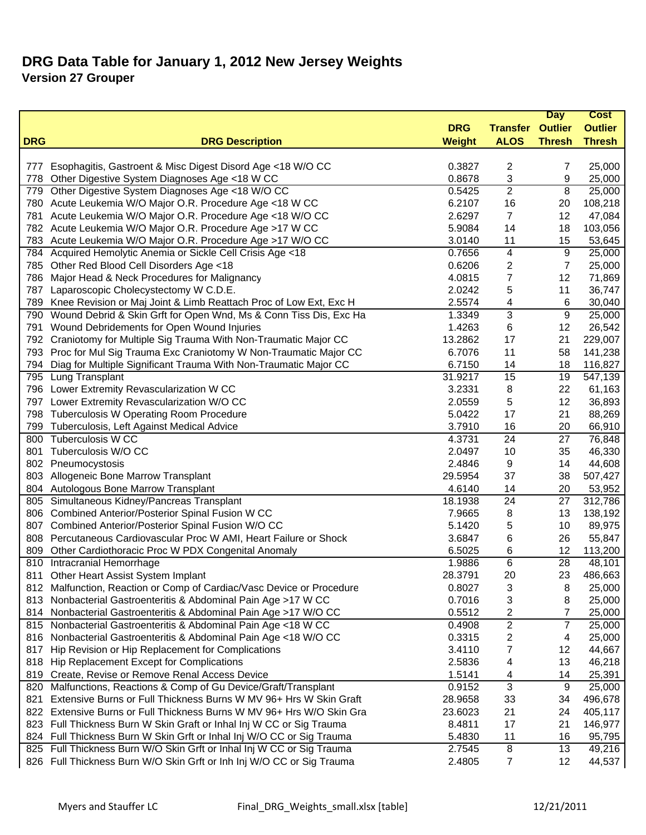|            |                                                                       |               |                 | <b>Day</b>      | <b>Cost</b>    |
|------------|-----------------------------------------------------------------------|---------------|-----------------|-----------------|----------------|
|            |                                                                       | <b>DRG</b>    | <b>Transfer</b> | <b>Outlier</b>  | <b>Outlier</b> |
| <b>DRG</b> | <b>DRG Description</b>                                                | <b>Weight</b> | <b>ALOS</b>     | <b>Thresh</b>   | <b>Thresh</b>  |
|            |                                                                       |               |                 |                 |                |
| 777        | Esophagitis, Gastroent & Misc Digest Disord Age <18 W/O CC            | 0.3827        | 2               | 7               | 25,000         |
| 778        | Other Digestive System Diagnoses Age <18 W CC                         | 0.8678        | 3               | 9               | 25,000         |
| 779        | Other Digestive System Diagnoses Age <18 W/O CC                       | 0.5425        | $\overline{2}$  | $\overline{8}$  | 25,000         |
|            | 780 Acute Leukemia W/O Major O.R. Procedure Age <18 W CC              | 6.2107        | 16              | 20              | 108,218        |
|            | 781 Acute Leukemia W/O Major O.R. Procedure Age <18 W/O CC            | 2.6297        | $\overline{7}$  | 12              | 47,084         |
|            | 782 Acute Leukemia W/O Major O.R. Procedure Age >17 W CC              | 5.9084        | 14              | 18              | 103,056        |
|            | 783 Acute Leukemia W/O Major O.R. Procedure Age >17 W/O CC            | 3.0140        | 11              | 15              | 53,645         |
|            | 784 Acquired Hemolytic Anemia or Sickle Cell Crisis Age <18           | 0.7656        | 4               | 9               | 25,000         |
|            | 785 Other Red Blood Cell Disorders Age <18                            | 0.6206        | 2               | $\overline{7}$  | 25,000         |
| 786        | Major Head & Neck Procedures for Malignancy                           | 4.0815        | 7               | 12              | 71,869         |
| 787        | Laparoscopic Cholecystectomy W C.D.E.                                 | 2.0242        | 5               | 11              | 36,747         |
| 789        | Knee Revision or Maj Joint & Limb Reattach Proc of Low Ext, Exc H     | 2.5574        | 4               | 6               | 30,040         |
| 790        | Wound Debrid & Skin Grft for Open Wnd, Ms & Conn Tiss Dis, Exc Ha     | 1.3349        | 3               | 9               | 25,000         |
| 791        | Wound Debridements for Open Wound Injuries                            | 1.4263        | 6               | 12              | 26,542         |
|            | 792 Craniotomy for Multiple Sig Trauma With Non-Traumatic Major CC    | 13.2862       | 17              | 21              | 229,007        |
| 793        | Proc for Mul Sig Trauma Exc Craniotomy W Non-Traumatic Major CC       | 6.7076        | 11              | 58              | 141,238        |
| 794        | Diag for Multiple Significant Trauma With Non-Traumatic Major CC      | 6.7150        | 14              | 18              | 116,827        |
|            | 795 Lung Transplant                                                   | 31.9217       | 15              | 19              | 547,139        |
|            | 796 Lower Extremity Revascularization W CC                            | 3.2331        | 8               | 22              | 61,163         |
|            | 797 Lower Extremity Revascularization W/O CC                          | 2.0559        | 5               | 12              | 36,893         |
|            | 798 Tuberculosis W Operating Room Procedure                           | 5.0422        | 17              | 21              | 88,269         |
|            | 799 Tuberculosis, Left Against Medical Advice                         | 3.7910        | 16              | 20              | 66,910         |
|            | 800 Tuberculosis W CC                                                 | 4.3731        | $\overline{24}$ | $\overline{27}$ | 76,848         |
| 801        | Tuberculosis W/O CC                                                   | 2.0497        | 10              | 35              | 46,330         |
|            | 802 Pneumocystosis                                                    | 2.4846        | 9               | 14              | 44,608         |
|            | 803 Allogeneic Bone Marrow Transplant                                 | 29.5954       | 37              | 38              | 507,427        |
|            | 804 Autologous Bone Marrow Transplant                                 | 4.6140        | 14              | 20              | 53,952         |
|            | 805 Simultaneous Kidney/Pancreas Transplant                           | 18.1938       | 24              | 27              | 312,786        |
| 806        | Combined Anterior/Posterior Spinal Fusion W CC                        | 7.9665        | 8               | 13              | 138,192        |
| 807        | Combined Anterior/Posterior Spinal Fusion W/O CC                      | 5.1420        | 5               | 10              | 89,975         |
| 808        | Percutaneous Cardiovascular Proc W AMI, Heart Failure or Shock        | 3.6847        | 6               | 26              | 55,847         |
| 809        | Other Cardiothoracic Proc W PDX Congenital Anomaly                    | 6.5025        | 6               | 12              | 113,200        |
|            | 810 Intracranial Hemorrhage                                           | 1.9886        | 6               | 28              | 48,101         |
| 811        | Other Heart Assist System Implant                                     | 28.3791       | 20              | 23              | 486,663        |
|            | 812 Malfunction, Reaction or Comp of Cardiac/Vasc Device or Procedure | 0.8027        | 3               | 8               | 25,000         |
| 813.       | Nonbacterial Gastroenteritis & Abdominal Pain Age >17 W CC            | 0.7016        | 3               | 8               | 25,000         |
|            | 814 Nonbacterial Gastroenteritis & Abdominal Pain Age >17 W/O CC      | 0.5512        | 2               | 7               | 25,000         |
|            | 815 Nonbacterial Gastroenteritis & Abdominal Pain Age <18 W CC        | 0.4908        | 2               | $\overline{7}$  | 25,000         |
|            | 816 Nonbacterial Gastroenteritis & Abdominal Pain Age <18 W/O CC      | 0.3315        | 2               | 4               | 25,000         |
| 817        | Hip Revision or Hip Replacement for Complications                     | 3.4110        | 7               | 12              | 44,667         |
| 818        | Hip Replacement Except for Complications                              | 2.5836        | 4               | 13              | 46,218         |
| 819        | Create, Revise or Remove Renal Access Device                          | 1.5141        | 4               | 14              | 25,391         |
| 820        | Malfunctions, Reactions & Comp of Gu Device/Graft/Transplant          | 0.9152        | 3               | 9               | 25,000         |
| 821        | Extensive Burns or Full Thickness Burns W MV 96+ Hrs W Skin Graft     | 28.9658       | 33              | 34              | 496,678        |
|            | 822 Extensive Burns or Full Thickness Burns W MV 96+ Hrs W/O Skin Gra | 23.6023       | 21              | 24              | 405,117        |
|            | 823 Full Thickness Burn W Skin Graft or Inhal Inj W CC or Sig Trauma  | 8.4811        | 17              | 21              | 146,977        |
|            | 824 Full Thickness Burn W Skin Grft or Inhal Inj W/O CC or Sig Trauma | 5.4830        | 11              | 16              | 95,795         |
|            | 825 Full Thickness Burn W/O Skin Grft or Inhal Inj W CC or Sig Trauma | 2.7545        | 8               | 13              | 49,216         |
|            | 826 Full Thickness Burn W/O Skin Grft or Inh Inj W/O CC or Sig Trauma | 2.4805        | 7               | 12              | 44,537         |
|            |                                                                       |               |                 |                 |                |